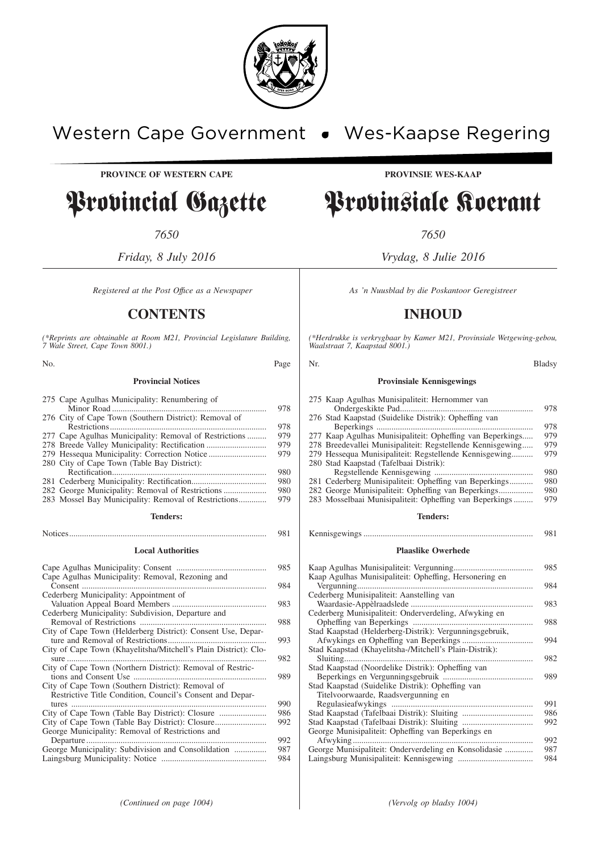

# Western Cape Government . Wes-Kaapse Regering

**PROVINCE OF WESTERN CAPE PROVINSIE WES-KAAP** 

# Provincial Gazette Provinsiale Koerant

*7650 7650*

## **CONTENTS INHOUD**

*(\*Reprints are obtainable at Room M21, Provincial Legislature Building, 7 Wale Street, Cape Town 8001.)*

**Provincial Notices** 275 Cape Agulhas Municipality: Renumbering of Minor Road ........................................................................ 978 276 City of Cape Town (Southern District): Removal of Restrictions......................................................................... 978 277 Cape Agulhas Municipality: Removal of Restrictions ......... 278 Breede Valley Municipality: Rectification ............................ 979 279 Hessequa Municipality: Correction Notice ................................... 280 City of Cape Town (Table Bay District): Rectification........................................................................ 980 281 Cederberg Municipality: Rectification................................... 980 282 George Municipality: Removal of Restrictions .................... 980 283 Mossel Bay Municipality: Removal of Restrictions............. **Tenders:** Notices............................................................................................ 981 **Local Authorities** Cape Agulhas Municipality: Consent .......................................... 985 Cape Agulhas Municipality: Removal, Rezoning and Consent ...................................................................................... 984 Cederberg Municipality: Appointment of Valuation Appeal Board Members ............................................ 983 Cederberg Municipality: Subdivision, Departure and Removal of Restrictions ........................................................... 988 City of Cape Town (Helderberg District): Consent Use, Departure and Removal of Restrictions.............................................. 993 City of Cape Town (Khayelitsha/Mitchell's Plain District): Closure ............................................................................................. 982 City of Cape Town (Northern District): Removal of Restrictions and Consent Use .............................................................. 989 City of Cape Town (Southern District): Removal of Restrictive Title Condition, Council's Consent and Depar-

tures ........................................................................................... 990 City of Cape Town (Table Bay District): Closure ...................... 986 City of Cape Town (Table Bay District): Closure........................ 992 George Municipality: Removal of Restrictions and Departure.................................................................................... 992

George Municipality: Subdivision and Consolildation ............... 987 Laingsburg Municipality: Notice ................................................. 984

*Friday, 8 July 2016 Vrydag, 8 Julie 2016*

*Registered at the Post Office as a Newspaper* As 'n Nuusblad by die Poskantoor Geregistreer

*(\*Herdrukke is verkrygbaar by Kamer M21, Provinsiale Wetgewing-gebou, Waalstraat 7, Kaapstad 8001.)*

| No.                                                                                                    | Page | Nr.                                                                                                    | <b>Bladsy</b> |
|--------------------------------------------------------------------------------------------------------|------|--------------------------------------------------------------------------------------------------------|---------------|
| <b>Provincial Notices</b>                                                                              |      | <b>Provinsiale Kennisgewings</b>                                                                       |               |
| 275 Cape Agulhas Municipality: Renumbering of<br>276 City of Cape Town (Southern District): Removal of | 978  | 275 Kaap Agulhas Munisipaliteit: Hernommer van<br>276 Stad Kaapstad (Suidelike Distrik): Opheffing van | 978           |
|                                                                                                        | 978  |                                                                                                        | 978           |
| 277 Cape Agulhas Municipality: Removal of Restrictions                                                 | 979  | 277 Kaap Agulhas Munisipaliteit: Opheffing van Beperkings                                              | 979           |
| 278 Breede Valley Municipality: Rectification                                                          | 979  | 278 Breedevallei Munisipaliteit: Regstellende Kennisgewing                                             | 979           |
|                                                                                                        | 979  | 279 Hessequa Munisipaliteit: Regstellende Kennisgewing                                                 | 979           |
| 280 City of Cape Town (Table Bay District):                                                            |      | 280 Stad Kaapstad (Tafelbaai Distrik):                                                                 |               |
|                                                                                                        | 980  |                                                                                                        | 980           |
|                                                                                                        | 980  | 281 Cederberg Munisipaliteit: Opheffing van Beperkings                                                 | 980           |
| 282 George Municipality: Removal of Restrictions                                                       | 980  |                                                                                                        | 980           |
| 283 Mossel Bay Municipality: Removal of Restrictions                                                   | 979  | 283 Mosselbaai Munisipaliteit: Opheffing van Beperkings                                                | 979           |
| <b>Tenders:</b>                                                                                        |      | <b>Tenders:</b>                                                                                        |               |
|                                                                                                        | 981  |                                                                                                        | 981           |

#### **Plaaslike Owerhede**

|                                                         | 985 |
|---------------------------------------------------------|-----|
| Kaap Agulhas Munisipaliteit: Opheffing, Hersonering en  |     |
|                                                         | 984 |
| Cederberg Munisipaliteit: Aanstelling van               |     |
|                                                         | 983 |
| Cederberg Munisipaliteit: Onderverdeling, Afwyking en   |     |
|                                                         | 988 |
| Stad Kaapstad (Helderberg-Distrik): Vergunningsgebruik, |     |
|                                                         | 994 |
| Stad Kaapstad (Khayelitsha-/Mitchell's Plain-Distrik):  |     |
|                                                         | 982 |
| Stad Kaapstad (Noordelike Distrik): Opheffing van       |     |
|                                                         | 989 |
| Stad Kaapstad (Suidelike Distrik): Opheffing van        |     |
| Titelvoorwaarde, Raadsvergunning en                     |     |
|                                                         | 991 |
|                                                         | 986 |
|                                                         | 992 |
| George Munisipaliteit: Opheffing van Beperkings en      |     |
|                                                         | 992 |
| George Munisipaliteit: Onderverdeling en Konsolidasie   | 987 |
|                                                         | 984 |
|                                                         |     |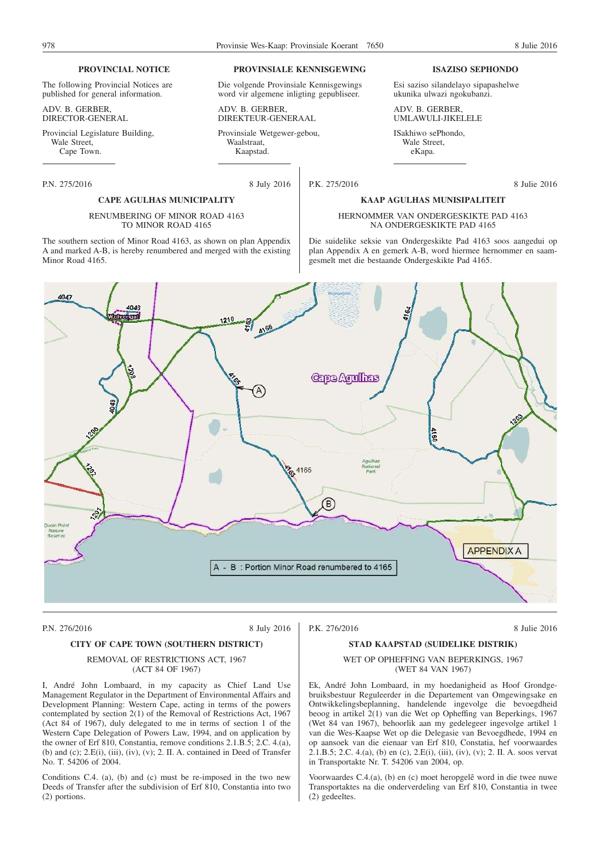#### **PROVINCIAL NOTICE**

The following Provincial Notices are published for general information.

ADV. B. GERBER, DIRECTOR-GENERAL

Provincial Legislature Building, Wale Street. Cape Town.

P.N. 275/2016 8 July 2016

#### **PROVINSIALE KENNISGEWING**

Die volgende Provinsiale Kennisgewings word vir algemene inligting gepubliseer.

ADV. B. GERBER, DIREKTEUR-GENERAAL

Provinsiale Wetgewer-gebou, Waalstraat, Kaapstad.

#### **ISAZISO SEPHONDO**

Esi saziso silandelayo sipapashelwe ukunika ulwazi ngokubanzi.

ADV. B. GERBER, UMLAWULI-JIKELELE

ISakhiwo sePhondo, Wale Street, eKapa.

P.K. 275/2016 8 Julie 2016

#### **CAPE AGULHAS MUNICIPALITY**

#### RENUMBERING OF MINOR ROAD 4163 TO MINOR ROAD 4165

The southern section of Minor Road 4163, as shown on plan Appendix A and marked A-B, is hereby renumbered and merged with the existing Minor Road 4165.

**KAAP AGULHAS MUNISIPALITEIT**



P.N. 276/2016 8 July 2016

P.K. 276/2016 8 Julie 2016

#### **CITY OF CAPE TOWN (SOUTHERN DISTRICT)**

#### REMOVAL OF RESTRICTIONS ACT, 1967 (ACT 84 OF 1967)

I, André John Lombaard, in my capacity as Chief Land Use Management Regulator in the Department of Environmental Affairs and Development Planning: Western Cape, acting in terms of the powers contemplated by section 2(1) of the Removal of Restrictions Act, 1967 (Act 84 of 1967), duly delegated to me in terms of section 1 of the Western Cape Delegation of Powers Law, 1994, and on application by the owner of Erf 810, Constantia, remove conditions 2.1.B.5; 2.C. 4.(a), (b) and (c); 2.E(i), (iii), (iv), (v); 2. II. A. contained in Deed of Transfer No. T. 54206 of 2004.

Conditions C.4. (a), (b) and (c) must be re-imposed in the two new Deeds of Transfer after the subdivision of Erf 810, Constantia into two (2) portions.

#### **STAD KAAPSTAD (SUIDELIKE DISTRIK)**

#### WET OP OPHEFFING VAN BEPERKINGS, 1967 (WET 84 VAN 1967)

Ek, André John Lombaard, in my hoedanigheid as Hoof Grondgebruiksbestuur Reguleerder in die Departement van Omgewingsake en Ontwikkelingsbeplanning, handelende ingevolge die bevoegdheid beoog in artikel 2(1) van die Wet op Opheffing van Beperkings, 1967 (Wet 84 van 1967), behoorlik aan my gedelegeer ingevolge artikel 1 van die Wes-Kaapse Wet op die Delegasie van Bevoegdhede, 1994 en op aansoek van die eienaar van Erf 810, Constatia, hef voorwaardes 2.1.B.5; 2.C. 4.(a), (b) en (c), 2.E(i), (iii), (iv), (v); 2. II. A. soos vervat in Transportakte Nr. T. 54206 van 2004, op.

Voorwaardes C.4.(a), (b) en (c) moet heropgelê word in die twee nuwe Transportaktes na die onderverdeling van Erf 810, Constantia in twee (2) gedeeltes.

HERNOMMER VAN ONDERGESKIKTE PAD 4163 NA ONDERGESKIKTE PAD 4165

Die suidelike seksie van Ondergeskikte Pad 4163 soos aangedui op plan Appendix A en gemerk A-B, word hiermee hernommer en saamgesmelt met die bestaande Ondergeskikte Pad 4165.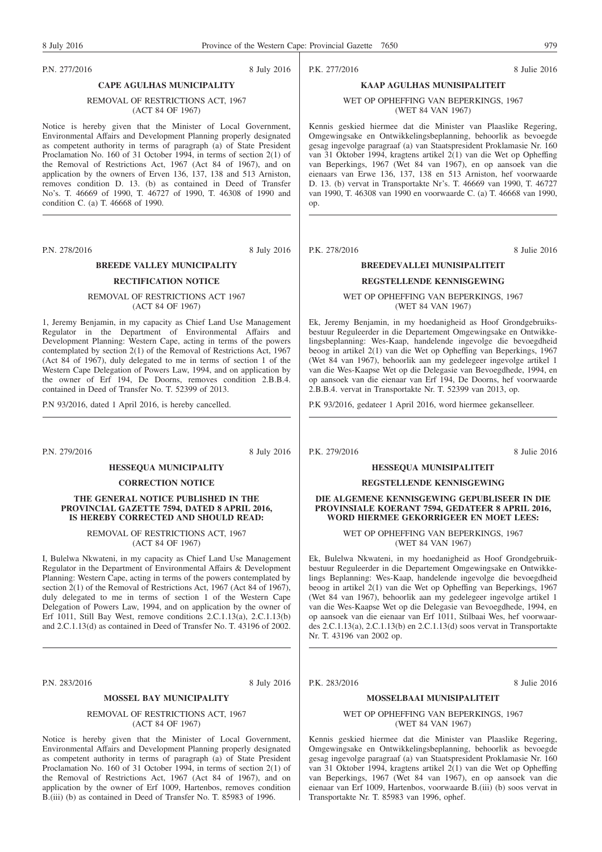P.N. 277/2016 8 July 2016

## **CAPE AGULHAS MUNICIPALITY** REMOVAL OF RESTRICTIONS ACT, 1967

## (ACT 84 OF 1967)

Notice is hereby given that the Minister of Local Government, Environmental Affairs and Development Planning properly designated as competent authority in terms of paragraph (a) of State President Proclamation No. 160 of 31 October 1994, in terms of section 2(1) of the Removal of Restrictions Act, 1967 (Act 84 of 1967), and on application by the owners of Erven 136, 137, 138 and 513 Arniston, removes condition D. 13. (b) as contained in Deed of Transfer No's. T. 46669 of 1990, T. 46727 of 1990, T. 46308 of 1990 and condition C. (a) T. 46668 of 1990.

P.N. 278/2016 8 July 2016

## **BREEDE VALLEY MUNICIPALITY**

#### **RECTIFICATION NOTICE**

#### REMOVAL OF RESTRICTIONS ACT 1967 (ACT 84 OF 1967)

1, Jeremy Benjamin, in my capacity as Chief Land Use Management Regulator in the Department of Environmental Affairs and Development Planning: Western Cape, acting in terms of the powers contemplated by section 2(1) of the Removal of Restrictions Act, 1967 (Act 84 of 1967), duly delegated to me in terms of section 1 of the Western Cape Delegation of Powers Law, 1994, and on application by the owner of Erf 194, De Doorns, removes condition 2.B.B.4. contained in Deed of Transfer No. T. 52399 of 2013.

P.N 93/2016, dated 1 April 2016, is hereby cancelled.

P.N. 279/2016 8 July 2016

#### **HESSEQUA MUNICIPALITY**

#### **CORRECTION NOTICE**

#### **THE GENERAL NOTICE PUBLISHED IN THE PROVINCIAL GAZETTE 7594, DATED 8 APRIL 2016, IS HEREBY CORRECTED AND SHOULD READ:**

REMOVAL OF RESTRICTIONS ACT, 1967 (ACT 84 OF 1967)

I, Bulelwa Nkwateni, in my capacity as Chief Land Use Management Regulator in the Department of Environmental Affairs & Development Planning: Western Cape, acting in terms of the powers contemplated by section 2(1) of the Removal of Restrictions Act, 1967 (Act 84 of 1967), duly delegated to me in terms of section 1 of the Western Cape Delegation of Powers Law, 1994, and on application by the owner of Erf 1011, Still Bay West, remove conditions 2.C.1.13(a), 2.C.1.13(b) and 2.C.1.13(d) as contained in Deed of Transfer No. T. 43196 of 2002.

P.N. 283/2016 8 July 2016

#### **MOSSEL BAY MUNICIPALITY**

REMOVAL OF RESTRICTIONS ACT, 1967 (ACT 84 OF 1967)

Notice is hereby given that the Minister of Local Government, Environmental Affairs and Development Planning properly designated as competent authority in terms of paragraph (a) of State President Proclamation No. 160 of 31 October 1994, in terms of section 2(1) of the Removal of Restrictions Act, 1967 (Act 84 of 1967), and on application by the owner of Erf 1009, Hartenbos, removes condition B.(iii) (b) as contained in Deed of Transfer No. T. 85983 of 1996.

P.K. 277/2016 8 Julie 2016

## **KAAP AGULHAS MUNISIPALITEIT** WET OP OPHEFFING VAN BEPERKINGS, 1967 (WET 84 VAN 1967)

Kennis geskied hiermee dat die Minister van Plaaslike Regering, Omgewingsake en Ontwikkelingsbeplanning, behoorlik as bevoegde gesag ingevolge paragraaf (a) van Staatspresident Proklamasie Nr. 160 van 31 Oktober 1994, kragtens artikel 2(1) van die Wet op Opheffing van Beperkings, 1967 (Wet 84 van 1967), en op aansoek van die eienaars van Erwe 136, 137, 138 en 513 Arniston, hef voorwaarde D. 13. (b) vervat in Transportakte Nr's. T. 46669 van 1990, T. 46727 van 1990, T. 46308 van 1990 en voorwaarde C. (a) T. 46668 van 1990, op.

P.K. 278/2016 8 Julie 2016

# **BREEDEVALLEI MUNISIPALITEIT**

## **REGSTELLENDE KENNISGEWING**

WET OP OPHEFFING VAN BEPERKINGS, 1967 (WET 84 VAN 1967)

Ek, Jeremy Benjamin, in my hoedanigheid as Hoof Grondgebruiksbestuur Reguleerder in die Departement Omgewingsake en Ontwikkelingsbeplanning: Wes-Kaap, handelende ingevolge die bevoegdheid beoog in artikel 2(1) van die Wet op Opheffing van Beperkings, 1967 (Wet 84 van 1967), behoorlik aan my gedelegeer ingevolge artikel 1 van die Wes-Kaapse Wet op die Delegasie van Bevoegdhede, 1994, en op aansoek van die eienaar van Erf 194, De Doorns, hef voorwaarde 2.B.B.4. vervat in Transportakte Nr. T. 52399 van 2013, op.

P.K 93/2016, gedateer 1 April 2016, word hiermee gekanselleer.

P.K. 279/2016 8 Julie 2016

#### **HESSEQUA MUNISIPALITEIT**

#### **REGSTELLENDE KENNISGEWING**

#### **DIE ALGEMENE KENNISGEWING GEPUBLISEER IN DIE PROVINSIALE KOERANT 7594, GEDATEER 8 APRIL 2016, WORD HIERMEE GEKORRIGEER EN MOET LEES:**

WET OP OPHEFFING VAN BEPERKINGS, 1967 (WET 84 VAN 1967)

Ek, Bulelwa Nkwateni, in my hoedanigheid as Hoof Grondgebruikbestuur Reguleerder in die Departement Omgewingsake en Ontwikkelings Beplanning: Wes-Kaap, handelende ingevolge die bevoegdheid beoog in artikel 2(1) van die Wet op Opheffing van Beperkings, 1967 (Wet 84 van 1967), behoorlik aan my gedelegeer ingevolge artikel 1 van die Wes-Kaapse Wet op die Delegasie van Bevoegdhede, 1994, en op aansoek van die eienaar van Erf 1011, Stilbaai Wes, hef voorwaardes 2.C.1.13(a), 2.C.1.13(b) en 2.C.1.13(d) soos vervat in Transportakte Nr. T. 43196 van 2002 op.

P.K. 283/2016 8 Julie 2016

#### **MOSSELBAAI MUNISIPALITEIT**

#### WET OP OPHEFFING VAN BEPERKINGS, 1967 (WET 84 VAN 1967)

Kennis geskied hiermee dat die Minister van Plaaslike Regering, Omgewingsake en Ontwikkelingsbeplanning, behoorlik as bevoegde gesag ingevolge paragraaf (a) van Staatspresident Proklamasie Nr. 160 van 31 Oktober 1994, kragtens artikel 2(1) van die Wet op Opheffing van Beperkings, 1967 (Wet 84 van 1967), en op aansoek van die eienaar van Erf 1009, Hartenbos, voorwaarde B.(iii) (b) soos vervat in Transportakte Nr. T. 85983 van 1996, ophef.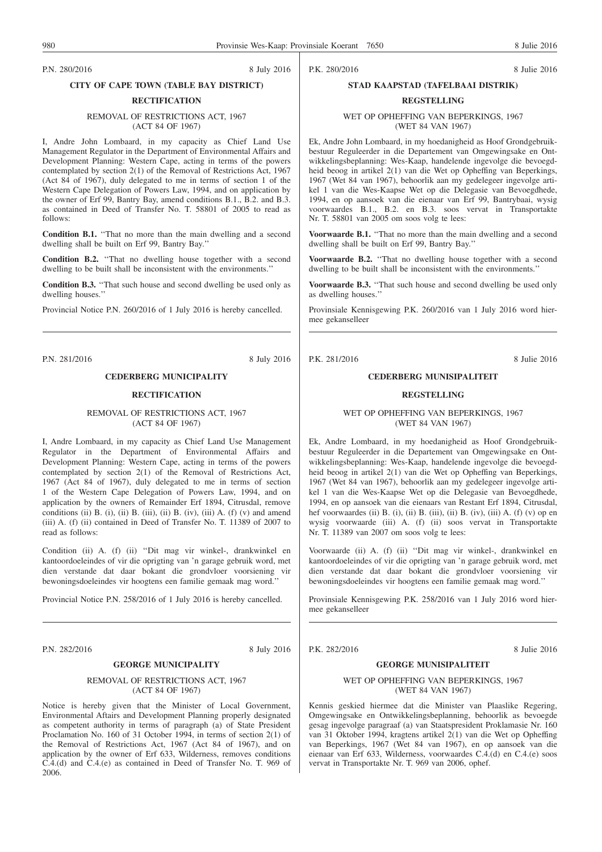P.N. 280/2016 8 July 2016

#### **CITY OF CAPE TOWN (TABLE BAY DISTRICT)**

#### **RECTIFICATION**

#### REMOVAL OF RESTRICTIONS ACT, 1967 (ACT 84 OF 1967)

I, Andre John Lombaard, in my capacity as Chief Land Use Management Regulator in the Department of Environmental Affairs and Development Planning: Western Cape, acting in terms of the powers contemplated by section 2(1) of the Removal of Restrictions Act, 1967 (Act 84 of 1967), duly delegated to me in terms of section 1 of the Western Cape Delegation of Powers Law, 1994, and on application by the owner of Erf 99, Bantry Bay, amend conditions B.1., B.2. and B.3. as contained in Deed of Transfer No. T. 58801 of 2005 to read as follows:

**Condition B.1.** ''That no more than the main dwelling and a second dwelling shall be built on Erf 99, Bantry Bay.''

**Condition B.2.** ''That no dwelling house together with a second dwelling to be built shall be inconsistent with the environments.''

**Condition B.3.** ''That such house and second dwelling be used only as dwelling houses.''

Provincial Notice P.N. 260/2016 of 1 July 2016 is hereby cancelled.

P.N. 281/2016 8 July 2016

#### **CEDERBERG MUNICIPALITY**

## **RECTIFICATION**

#### REMOVAL OF RESTRICTIONS ACT, 1967 (ACT 84 OF 1967)

I, Andre Lombaard, in my capacity as Chief Land Use Management Regulator in the Department of Environmental Affairs and Development Planning: Western Cape, acting in terms of the powers contemplated by section 2(1) of the Removal of Restrictions Act, 1967 (Act 84 of 1967), duly delegated to me in terms of section 1 of the Western Cape Delegation of Powers Law, 1994, and on application by the owners of Remainder Erf 1894, Citrusdal, remove conditions (ii) B. (i), (ii) B. (iii), (ii) B. (iv), (iii) A. (f) (v) and amend (iii) A. (f) (ii) contained in Deed of Transfer No. T. 11389 of 2007 to read as follows:

Condition (ii) A. (f) (ii) ''Dit mag vir winkel-, drankwinkel en kantoordoeleindes of vir die oprigting van 'n garage gebruik word, met dien verstande dat daar bokant die grondvloer voorsiening vir bewoningsdoeleindes vir hoogtens een familie gemaak mag word.''

Provincial Notice P.N. 258/2016 of 1 July 2016 is hereby cancelled.

P.N. 282/2016 8 July 2016

## **GEORGE MUNICIPALITY**

#### REMOVAL OF RESTRICTIONS ACT, 1967 (ACT 84 OF 1967)

Notice is hereby given that the Minister of Local Government, Environmental Aftairs and Development Planning properly designated as competent authority in terms of paragraph (a) of State President Proclamation No. 160 of 31 October 1994, in terms of section 2(1) of the Removal of Restrictions Act, 1967 (Act 84 of 1967), and on application by the owner of Erf 633, Wilderness, removes conditions C.4.(d) and C.4.(e) as contained in Deed of Transfer No. T. 969 of 2006.

P.K. 280/2016 8 Julie 2016

#### **STAD KAAPSTAD (TAFELBAAI DISTRIK)**

# **REGSTELLING**

WET OP OPHEFFING VAN BEPERKINGS, 1967 (WET 84 VAN 1967)

Ek, Andre John Lombaard, in my hoedanigheid as Hoof Grondgebruikbestuur Reguleerder in die Departement van Omgewingsake en Ontwikkelingsbeplanning: Wes-Kaap, handelende ingevolge die bevoegdheid beoog in artikel 2(1) van die Wet op Opheffing van Beperkings, 1967 (Wet 84 van 1967), behoorlik aan my gedelegeer ingevolge artikel 1 van die Wes-Kaapse Wet op die Delegasie van Bevoegdhede, 1994, en op aansoek van die eienaar van Erf 99, Bantrybaai, wysig voorwaardes B.1., B.2. en B.3. soos vervat in Transportakte Nr. T. 58801 van 2005 om soos volg te lees:

Voorwaarde B.1. "That no more than the main dwelling and a second dwelling shall be built on Erf 99, Bantry Bay.''

**Voorwaarde B.2.** ''That no dwelling house together with a second dwelling to be built shall be inconsistent with the environments.''

**Voorwaarde B.3.** "That such house and second dwelling be used only as dwelling houses.''

Provinsiale Kennisgewing P.K. 260/2016 van 1 July 2016 word hiermee gekanselleer

#### **CEDERBERG MUNISIPALITEIT**

#### **REGSTELLING**

#### WET OP OPHEFFING VAN BEPERKINGS, 1967 (WET 84 VAN 1967)

Ek, Andre Lombaard, in my hoedanigheid as Hoof Grondgebruikbestuur Reguleerder in die Departement van Omgewingsake en Ontwikkelingsbeplanning: Wes-Kaap, handelende ingevolge die bevoegdheid beoog in artikel 2(1) van die Wet op Opheffing van Beperkings, 1967 (Wet 84 van 1967), behoorlik aan my gedelegeer ingevolge artikel 1 van die Wes-Kaapse Wet op die Delegasie van Bevoegdhede, 1994, en op aansoek van die eienaars van Restant Erf 1894, Citrusdal, hef voorwaardes (ii) B. (i), (ii) B. (iii), (ii) B. (iv), (iii) A. (f) (v) op en wysig voorwaarde (iii) A. (f) (ii) soos vervat in Transportakte Nr. T. 11389 van 2007 om soos volg te lees:

Voorwaarde (ii) A. (f) (ii) ''Dit mag vir winkel-, drankwinkel en kantoordoeleindes of vir die oprigting van 'n garage gebruik word, met dien verstande dat daar bokant die grondvloer voorsiening vir bewoningsdoeleindes vir hoogtens een familie gemaak mag word.''

Provinsiale Kennisgewing P.K. 258/2016 van 1 July 2016 word hiermee gekanselleer

P.K. 282/2016 8 Julie 2016

#### **GEORGE MUNISIPALITEIT**

#### WET OP OPHEFFING VAN BEPERKINGS, 1967 (WET 84 VAN 1967)

Kennis geskied hiermee dat die Minister van Plaaslike Regering, Omgewingsake en Ontwikkelingsbeplanning, behoorlik as bevoegde gesag ingevolge paragraaf (a) van Staatspresident Proklamasie Nr. 160 van 31 Oktober 1994, kragtens artikel 2(1) van die Wet op Opheffing van Beperkings, 1967 (Wet 84 van 1967), en op aansoek van die eienaar van Erf 633, Wilderness, voorwaardes C.4.(d) en C.4.(e) soos vervat in Transportakte Nr. T. 969 van 2006, ophef.

P.K. 281/2016 8 Julie 2016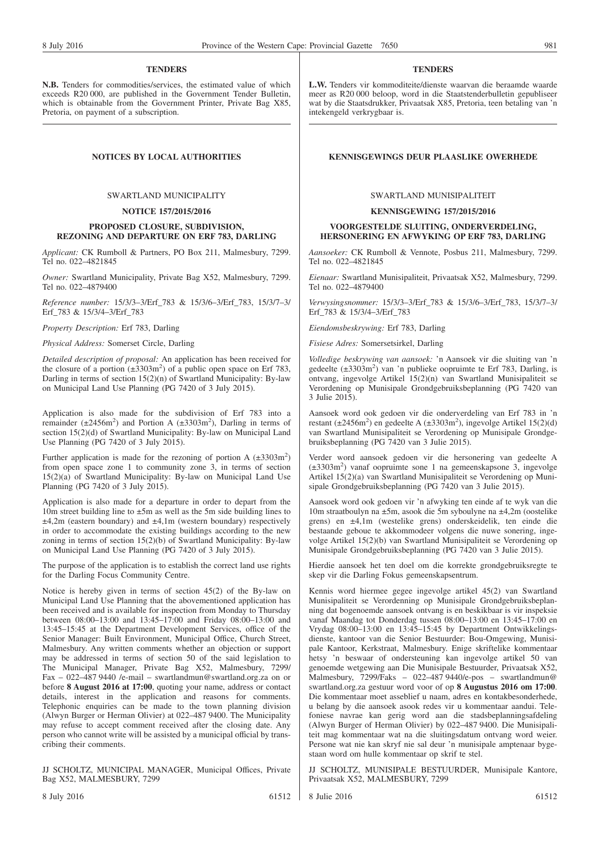#### **TENDERS**

**N.B.** Tenders for commodities/services, the estimated value of which exceeds R20 000, are published in the Government Tender Bulletin, which is obtainable from the Government Printer, Private Bag X85, Pretoria, on payment of a subscription.

#### SWARTLAND MUNICIPALITY

#### **NOTICE 157/2015/2016**

#### **PROPOSED CLOSURE, SUBDIVISION, REZONING AND DEPARTURE ON ERF 783, DARLING**

*Applicant:* CK Rumboll & Partners, PO Box 211, Malmesbury, 7299. Tel no. 022–4821845

*Owner:* Swartland Municipality, Private Bag X52, Malmesbury, 7299. Tel no. 022–4879400

*Reference number:* 15/3/3–3/Erf\_783 & 15/3/6–3/Erf\_783, 15/3/7–3/ Erf\_783 & 15/3/4–3/Erf\_783

*Property Description:* Erf 783, Darling

*Physical Address:* Somerset Circle, Darling

*Detailed description of proposal:* An application has been received for the closure of a portion  $(\pm 3303 \text{ m}^2)$  of a public open space on Erf 783, Darling in terms of section  $15(2)(n)$  of Swartland Municipality: By-law on Municipal Land Use Planning (PG 7420 of 3 July 2015).

Application is also made for the subdivision of Erf 783 into a remainder  $(\pm 2456m^2)$  and Portion A  $(\pm 3303m^2)$ , Darling in terms of section 15(2)(d) of Swartland Municipality: By-law on Municipal Land Use Planning (PG 7420 of 3 July 2015).

Further application is made for the rezoning of portion A  $(\pm 3303 \text{ m}^2)$ from open space zone 1 to community zone 3, in terms of section 15(2)(a) of Swartland Municipality: By-law on Municipal Land Use Planning (PG 7420 of 3 July 2015).

Application is also made for a departure in order to depart from the 10m street building line to  $\pm$ 5m as well as the 5m side building lines to  $\pm 4,2m$  (eastern boundary) and  $\pm 4,1m$  (western boundary) respectively in order to accommodate the existing buildings according to the new zoning in terms of section 15(2)(b) of Swartland Municipality: By-law on Municipal Land Use Planning (PG 7420 of 3 July 2015).

The purpose of the application is to establish the correct land use rights for the Darling Focus Community Centre.

Notice is hereby given in terms of section 45(2) of the By-law on Municipal Land Use Planning that the abovementioned application has been received and is available for inspection from Monday to Thursday between 08:00–13:00 and 13:45–17:00 and Friday 08:00–13:00 and 13:45–15:45 at the Department Development Services, office of the Senior Manager: Built Environment, Municipal Office, Church Street, Malmesbury. Any written comments whether an objection or support may be addressed in terms of section 50 of the said legislation to The Municipal Manager, Private Bag X52, Malmesbury, 7299/ Fax – 022–487 9440 /e-mail – swartlandmun@swartland.org.za on or before **8 August 2016 at 17:00**, quoting your name, address or contact details, interest in the application and reasons for comments. Telephonic enquiries can be made to the town planning division (Alwyn Burger or Herman Olivier) at 022–487 9400. The Municipality may refuse to accept comment received after the closing date. Any person who cannot write will be assisted by a municipal official by transcribing their comments.

JJ SCHOLTZ, MUNICIPAL MANAGER, Municipal Offices, Private Bag X52, MALMESBURY, 7299

**L.W.** Tenders vir kommoditeite/dienste waarvan die beraamde waarde meer as R20 000 beloop, word in die Staatstenderbulletin gepubliseer wat by die Staatsdrukker, Privaatsak X85, Pretoria, teen betaling van 'n intekengeld verkrygbaar is.

#### **NOTICES BY LOCAL AUTHORITIES KENNISGEWINGS DEUR PLAASLIKE OWERHEDE**

#### SWARTLAND MUNISIPALITEIT

#### **KENNISGEWING 157/2015/2016**

#### **VOORGESTELDE SLUITING, ONDERVERDELING, HERSONERING EN AFWYKING OP ERF 783, DARLING**

*Aansoeker:* CK Rumboll & Vennote, Posbus 211, Malmesbury, 7299. Tel no. 022–4821845

*Eienaar:* Swartland Munisipaliteit, Privaatsak X52, Malmesbury, 7299. Tel no. 022–4879400

*Verwysingsnommer:* 15/3/3–3/Erf\_783 & 15/3/6–3/Erf\_783, 15/3/7–3/ Erf\_783 & 15/3/4–3/Erf\_783

*Eiendomsbeskrywing:* Erf 783, Darling

*Fisiese Adres:* Somersetsirkel, Darling

*Volledige beskrywing van aansoek:* 'n Aansoek vir die sluiting van 'n gedeelte  $(\pm 3303 \text{m}^2)$  van 'n publieke oopruimte te Erf 783, Darling, is ontvang, ingevolge Artikel 15(2)(n) van Swartland Munisipaliteit se Verordening op Munisipale Grondgebruiksbeplanning (PG 7420 van 3 Julie 2015).

Aansoek word ook gedoen vir die onderverdeling van Erf 783 in 'n restant ( $\pm 2456$ m<sup>2</sup>) en gedeelte A ( $\pm 3303$ m<sup>2</sup>), ingevolge Artikel 15(2)(d) van Swartland Munisipaliteit se Verordening op Munisipale Grondgebruiksbeplanning (PG 7420 van 3 Julie 2015).

Verder word aansoek gedoen vir die hersonering van gedeelte A (±3303m2 ) vanaf oopruimte sone 1 na gemeenskapsone 3, ingevolge Artikel 15(2)(a) van Swartland Munisipaliteit se Verordening op Munisipale Grondgebruiksbeplanning (PG 7420 van 3 Julie 2015).

Aansoek word ook gedoen vir 'n afwyking ten einde af te wyk van die 10m straatboulyn na ±5m, asook die 5m syboulyne na ±4,2m (oostelike grens) en ±4,1m (westelike grens) onderskeidelik, ten einde die bestaande geboue te akkommodeer volgens die nuwe sonering, ingevolge Artikel 15(2)(b) van Swartland Munisipaliteit se Verordening op Munisipale Grondgebruiksbeplanning (PG 7420 van 3 Julie 2015).

Hierdie aansoek het ten doel om die korrekte grondgebruiksregte te skep vir die Darling Fokus gemeenskapsentrum.

Kennis word hiermee gegee ingevolge artikel 45(2) van Swartland Munisipaliteit se Verordenning op Munisipale Grondgebruiksbeplanning dat bogenoemde aansoek ontvang is en beskikbaar is vir inspeksie vanaf Maandag tot Donderdag tussen 08:00–13:00 en 13:45–17:00 en Vrydag 08:00–13:00 en 13:45–15:45 by Department Ontwikkelingsdienste, kantoor van die Senior Bestuurder: Bou-Omgewing, Munisipale Kantoor, Kerkstraat, Malmesbury. Enige skriftelike kommentaar hetsy 'n beswaar of ondersteuning kan ingevolge artikel 50 van genoemde wetgewing aan Die Munisipale Bestuurder, Privaatsak X52, Malmesbury,  $\overline{7}299/\overline{F}$ aks – 022–487 9440/e-pos – swartlandmun@ swartland.org.za gestuur word voor of op **8 Augustus 2016 om 17:00**. Die kommentaar moet asseblief u naam, adres en kontakbesonderhede, u belang by die aansoek asook redes vir u kommentaar aandui. Telefoniese navrae kan gerig word aan die stadsbeplanningsafdeling (Alwyn Burger of Herman Olivier) by 022–487 9400. Die Munisipaliteit mag kommentaar wat na die sluitingsdatum ontvang word weier. Persone wat nie kan skryf nie sal deur 'n munisipale amptenaar bygestaan word om hulle kommentaar op skrif te stel.

JJ SCHOLTZ, MUNISIPALE BESTUURDER, Munisipale Kantore, Privaatsak X52, MALMESBURY, 7299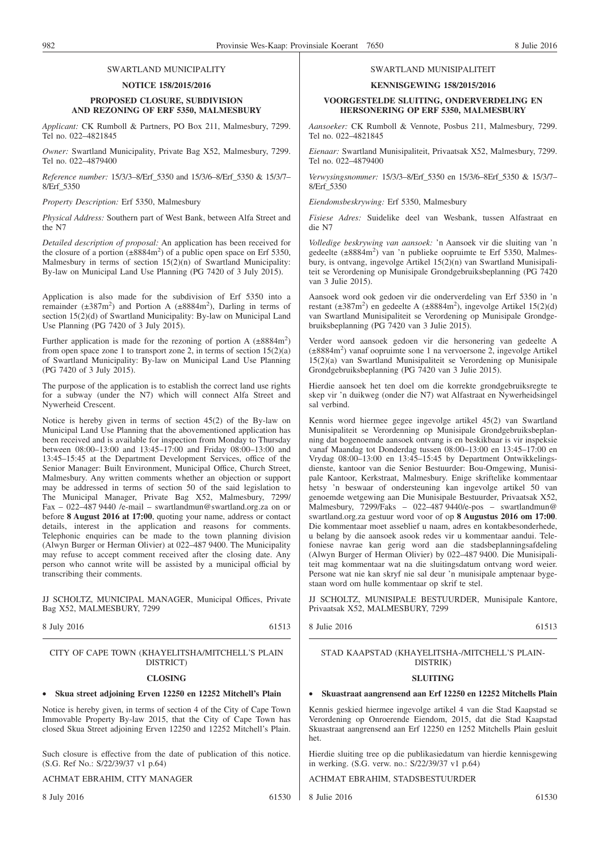#### SWARTLAND MUNICIPALITY

#### **NOTICE 158/2015/2016**

#### **PROPOSED CLOSURE, SUBDIVISION AND REZONING OF ERF 5350, MALMESBURY**

*Applicant:* CK Rumboll & Partners, PO Box 211, Malmesbury, 7299. Tel no. 022–4821845

*Owner:* Swartland Municipality, Private Bag X52, Malmesbury, 7299. Tel no. 022–4879400

*Reference number:* 15/3/3–8/Erf\_5350 and 15/3/6–8/Erf\_5350 & 15/3/7– 8/Erf\_5350

*Property Description:* Erf 5350, Malmesbury

*Physical Address:* Southern part of West Bank, between Alfa Street and the N7

*Detailed description of proposal:* An application has been received for the closure of a portion  $(\pm 8884 \text{ m}^2)$  of a public open space on Erf 5350, Malmesbury in terms of section 15(2)(n) of Swartland Municipality: By-law on Municipal Land Use Planning (PG 7420 of 3 July 2015).

Application is also made for the subdivision of Erf 5350 into a remainder  $(\pm 387 \text{m}^2)$  and Portion A  $(\pm 8884 \text{m}^2)$ , Darling in terms of section 15(2)(d) of Swartland Municipality: By-law on Municipal Land Use Planning (PG 7420 of 3 July 2015).

Further application is made for the rezoning of portion A  $(\pm 8884 \text{ m}^2)$ from open space zone 1 to transport zone 2, in terms of section  $15(2)(a)$ of Swartland Municipality: By-law on Municipal Land Use Planning (PG 7420 of 3 July 2015).

The purpose of the application is to establish the correct land use rights for a subway (under the N7) which will connect Alfa Street and Nywerheid Crescent.

Notice is hereby given in terms of section 45(2) of the By-law on Municipal Land Use Planning that the abovementioned application has been received and is available for inspection from Monday to Thursday between 08:00–13:00 and 13:45–17:00 and Friday 08:00–13:00 and 13:45–15:45 at the Department Development Services, office of the Senior Manager: Built Environment, Municipal Office, Church Street, Malmesbury. Any written comments whether an objection or support may be addressed in terms of section 50 of the said legislation to The Municipal Manager, Private Bag X52, Malmesbury, 7299/ Fax – 022–487 9440 /e-mail – swartlandmun@swartland.org.za on or before **8 August 2016 at 17:00**, quoting your name, address or contact details, interest in the application and reasons for comments. Telephonic enquiries can be made to the town planning division (Alwyn Burger or Herman Olivier) at 022–487 9400. The Municipality may refuse to accept comment received after the closing date. Any person who cannot write will be assisted by a municipal official by transcribing their comments.

JJ SCHOLTZ, MUNICIPAL MANAGER, Municipal Offices, Private Bag X52, MALMESBURY, 7299

8 July 2016 61513

#### CITY OF CAPE TOWN (KHAYELITSHA/MITCHELL'S PLAIN DISTRICT)

#### **CLOSING**

#### • **Skua street adjoining Erven 12250 en 12252 Mitchell's Plain**

Notice is hereby given, in terms of section 4 of the City of Cape Town Immovable Property By-law 2015, that the City of Cape Town has closed Skua Street adjoining Erven 12250 and 12252 Mitchell's Plain.

Such closure is effective from the date of publication of this notice. (S.G. Ref No.: S/22/39/37 v1 p.64)

#### ACHMAT EBRAHIM, CITY MANAGER

8 July 2016 61530

## SWARTLAND MUNISIPALITEIT

#### **KENNISGEWING 158/2015/2016**

#### **VOORGESTELDE SLUITING, ONDERVERDELING EN HERSONERING OP ERF 5350, MALMESBURY**

*Aansoeker:* CK Rumboll & Vennote, Posbus 211, Malmesbury, 7299. Tel no. 022–4821845

*Eienaar:* Swartland Munisipaliteit, Privaatsak X52, Malmesbury, 7299. Tel no. 022–4879400

*Verwysingsnommer:* 15/3/3–8/Erf\_5350 en 15/3/6–8Erf\_5350 & 15/3/7– 8/Erf\_5350

*Eiendomsbeskrywing:* Erf 5350, Malmesbury

*Fisiese Adres:* Suidelike deel van Wesbank, tussen Alfastraat en die N7

*Volledige beskrywing van aansoek:* 'n Aansoek vir die sluiting van 'n gedeelte (±8884m<sup>2</sup>) van 'n publieke oopruimte te Erf 5350, Malmesbury, is ontvang, ingevolge Artikel 15(2)(n) van Swartland Munisipaliteit se Verordening op Munisipale Grondgebruiksbeplanning (PG 7420 van 3 Julie 2015).

Aansoek word ook gedoen vir die onderverdeling van Erf 5350 in 'n restant ( $\pm 387$ m<sup>2</sup>) en gedeelte A ( $\pm 8884$ m<sup>2</sup>), ingevolge Artikel 15(2)(d) van Swartland Munisipaliteit se Verordening op Munisipale Grondgebruiksbeplanning (PG 7420 van 3 Julie 2015).

Verder word aansoek gedoen vir die hersonering van gedeelte A (±8884m2 ) vanaf oopruimte sone 1 na vervoersone 2, ingevolge Artikel 15(2)(a) van Swartland Munisipaliteit se Verordening op Munisipale Grondgebruiksbeplanning (PG 7420 van 3 Julie 2015).

Hierdie aansoek het ten doel om die korrekte grondgebruiksregte te skep vir 'n duikweg (onder die N7) wat Alfastraat en Nywerheidsingel sal verbind.

Kennis word hiermee gegee ingevolge artikel 45(2) van Swartland Munisipaliteit se Verordenning op Munisipale Grondgebruiksbeplanning dat bogenoemde aansoek ontvang is en beskikbaar is vir inspeksie vanaf Maandag tot Donderdag tussen 08:00–13:00 en 13:45–17:00 en Vrydag 08:00–13:00 en 13:45–15:45 by Department Ontwikkelingsdienste, kantoor van die Senior Bestuurder: Bou-Omgewing, Munisipale Kantoor, Kerkstraat, Malmesbury. Enige skriftelike kommentaar hetsy 'n beswaar of ondersteuning kan ingevolge artikel 50 van genoemde wetgewing aan Die Munisipale Bestuurder, Privaatsak X52, Malmesbury, 7299/Faks – 022–487 9440/e-pos – swartlandmun@ swartland.org.za gestuur word voor of op **8 Augustus 2016 om 17:00**. Die kommentaar moet asseblief u naam, adres en kontakbesonderhede, u belang by die aansoek asook redes vir u kommentaar aandui. Telefoniese navrae kan gerig word aan die stadsbeplanningsafdeling (Alwyn Burger of Herman Olivier) by 022–487 9400. Die Munisipaliteit mag kommentaar wat na die sluitingsdatum ontvang word weier. Persone wat nie kan skryf nie sal deur 'n munisipale amptenaar bygestaan word om hulle kommentaar op skrif te stel.

JJ SCHOLTZ, MUNISIPALE BESTUURDER, Munisipale Kantore, Privaatsak X52, MALMESBURY, 7299

8 Julie 2016 61513

#### STAD KAAPSTAD (KHAYELITSHA-/MITCHELL'S PLAIN-DISTRIK)

#### **SLUITING**

#### • **Skuastraat aangrensend aan Erf 12250 en 12252 Mitchells Plain**

Kennis geskied hiermee ingevolge artikel 4 van die Stad Kaapstad se Verordening op Onroerende Eiendom, 2015, dat die Stad Kaapstad Skuastraat aangrensend aan Erf 12250 en 1252 Mitchells Plain gesluit het.

Hierdie sluiting tree op die publikasiedatum van hierdie kennisgewing in werking. (S.G. verw. no.: S/22/39/37 v1 p.64)

ACHMAT EBRAHIM, STADSBESTUURDER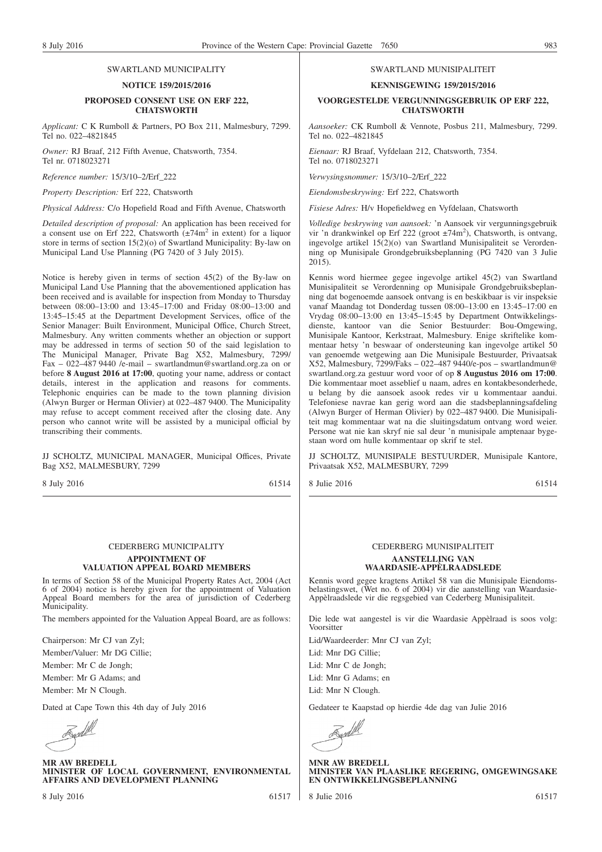#### SWARTLAND MUNICIPALITY

#### **NOTICE 159/2015/2016**

#### **PROPOSED CONSENT USE ON ERF 222, CHATSWORTH**

*Applicant:* C K Rumboll & Partners, PO Box 211, Malmesbury, 7299. Tel no. 022–4821845

*Owner:* RJ Braaf, 212 Fifth Avenue, Chatsworth, 7354. Tel nr. 0718023271

*Reference number:* 15/3/10–2/Erf\_222

*Property Description:* Erf 222, Chatsworth

*Physical Address:* C/o Hopefield Road and Fifth Avenue, Chatsworth

*Detailed description of proposal:* An application has been received for a consent use on Erf 222, Chatsworth  $\left(\pm 74 \text{m}^2 \text{ in extent}\right)$  for a liquor store in terms of section 15(2)(o) of Swartland Municipality: By-law on Municipal Land Use Planning (PG 7420 of 3 July 2015).

Notice is hereby given in terms of section 45(2) of the By-law on Municipal Land Use Planning that the abovementioned application has been received and is available for inspection from Monday to Thursday between 08:00–13:00 and 13:45–17:00 and Friday 08:00–13:00 and 13:45–15:45 at the Department Development Services, office of the Senior Manager: Built Environment, Municipal Office, Church Street, Malmesbury. Any written comments whether an objection or support may be addressed in terms of section 50 of the said legislation to The Municipal Manager, Private Bag X52, Malmesbury, 7299/ Fax – 022–487 9440 /e-mail – swartlandmun@swartland.org.za on or before **8 August 2016 at 17:00**, quoting your name, address or contact details, interest in the application and reasons for comments. Telephonic enquiries can be made to the town planning division (Alwyn Burger or Herman Olivier) at 022–487 9400. The Municipality may refuse to accept comment received after the closing date. Any person who cannot write will be assisted by a municipal official by transcribing their comments.

JJ SCHOLTZ, MUNICIPAL MANAGER, Municipal Offices, Private Bag X52, MALMESBURY, 7299

8 July 2016 61514

#### SWARTLAND MUNISIPALITEIT

**KENNISGEWING 159/2015/2016**

#### **VOORGESTELDE VERGUNNINGSGEBRUIK OP ERF 222, CHATSWORTH**

*Aansoeker:* CK Rumboll & Vennote, Posbus 211, Malmesbury, 7299. Tel no. 022–4821845

*Eienaar:* RJ Braaf, Vyfdelaan 212, Chatsworth, 7354. Tel no. 0718023271

*Verwysingsnommer:* 15/3/10–2/Erf\_222

*Eiendomsbeskrywing:* Erf 222, Chatsworth

*Fisiese Adres:* H/v Hopefieldweg en Vyfdelaan, Chatsworth

*Volledige beskrywing van aansoek:* 'n Aansoek vir vergunningsgebruik vir 'n drankwinkel op Erf 222 (groot ±74m<sup>2</sup>), Chatsworth, is ontvang, ingevolge artikel 15(2)(o) van Swartland Munisipaliteit se Verordenning op Munisipale Grondgebruiksbeplanning (PG 7420 van 3 Julie 2015).

Kennis word hiermee gegee ingevolge artikel 45(2) van Swartland Munisipaliteit se Verordenning op Munisipale Grondgebruiksbeplanning dat bogenoemde aansoek ontvang is en beskikbaar is vir inspeksie vanaf Maandag tot Donderdag tussen 08:00–13:00 en 13:45–17:00 en Vrydag 08:00–13:00 en 13:45–15:45 by Department Ontwikkelingsdienste, kantoor van die Senior Bestuurder: Bou-Omgewing, Munisipale Kantoor, Kerkstraat, Malmesbury. Enige skriftelike kommentaar hetsy 'n beswaar of ondersteuning kan ingevolge artikel 50 van genoemde wetgewing aan Die Munisipale Bestuurder, Privaatsak X52, Malmesbury, 7299/Faks – 022–487 9440/e-pos – swartlandmun@ swartland.org.za gestuur word voor of op **8 Augustus 2016 om 17:00**. Die kommentaar moet asseblief u naam, adres en kontakbesonderhede, u belang by die aansoek asook redes vir u kommentaar aandui. Telefoniese navrae kan gerig word aan die stadsbeplanningsafdeling (Alwyn Burger of Herman Olivier) by 022–487 9400. Die Munisipaliteit mag kommentaar wat na die sluitingsdatum ontvang word weier. Persone wat nie kan skryf nie sal deur 'n munisipale amptenaar bygestaan word om hulle kommentaar op skrif te stel.

JJ SCHOLTZ, MUNISIPALE BESTUURDER, Munisipale Kantore, Privaatsak X52, MALMESBURY, 7299

8 Julie 2016 61514

## CEDERBERG MUNICIPALITY

#### **APPOINTMENT OF VALUATION APPEAL BOARD MEMBERS**

In terms of Section 58 of the Municipal Property Rates Act, 2004 (Act 6 of 2004) notice is hereby given for the appointment of Valuation Appeal Board members for the area of jurisdiction of Cederberg **Municipality**.

The members appointed for the Valuation Appeal Board, are as follows:

Chairperson: Mr CJ van Zyl;

Member/Valuer: Mr DG Cillie;

Member: Mr C de Jongh;

Member: Mr G Adams; and

Member: Mr N Clough.

Dated at Cape Town this 4th day of July 2016

**MR AW BREDELL MINISTER OF LOCAL GOVERNMENT, ENVIRONMENTAL AFFAIRS AND DEVELOPMENT PLANNING**

## CEDERBERG MUNISIPALITEIT

#### **AANSTELLING VAN WAARDASIE-APPÈLRAADSLEDE**

Kennis word gegee kragtens Artikel 58 van die Munisipale Eiendomsbelastingswet, (Wet no. 6 of 2004) vir die aanstelling van Waardasie-Appèlraadslede vir die regsgebied van Cederberg Munisipaliteit.

Die lede wat aangestel is vir die Waardasie Appèlraad is soos volg: Voorsitter

Lid/Waardeerder: Mnr CJ van Zyl;

Lid: Mnr DG Cillie;

Lid: Mnr C de Jongh;

Lid: Mnr G Adams; en

Lid: Mnr N Clough.

Gedateer te Kaapstad op hierdie 4de dag van Julie 2016

Exd

**MNR AW BREDELL MINISTER VAN PLAASLIKE REGERING, OMGEWINGSAKE EN ONTWIKKELINGSBEPLANNING**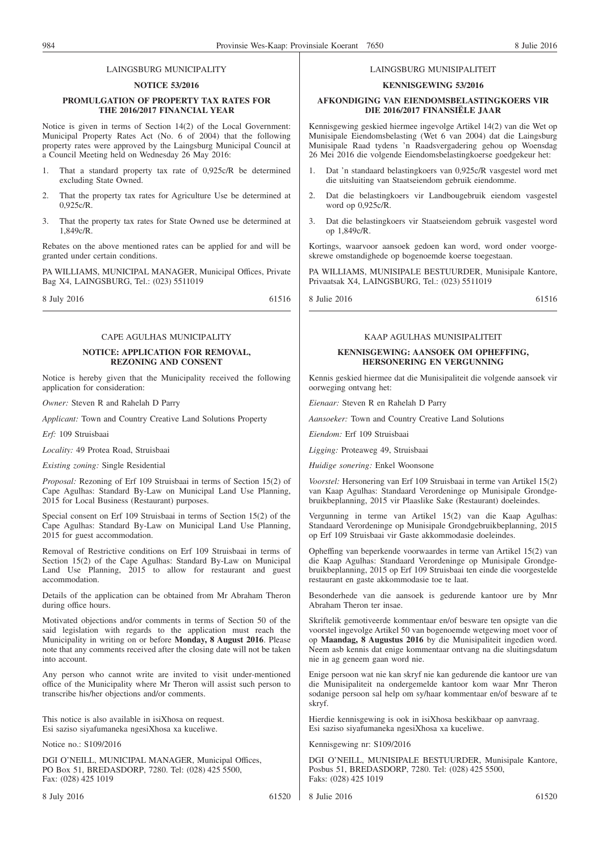#### LAINGSBURG MUNICIPALITY

#### **NOTICE 53/2016**

#### **PROMULGATION OF PROPERTY TAX RATES FOR THE 2016/2017 FINANCIAL YEAR**

Notice is given in terms of Section 14(2) of the Local Government: Municipal Property Rates Act (No. 6 of 2004) that the following property rates were approved by the Laingsburg Municipal Council at a Council Meeting held on Wednesday 26 May 2016:

- 1. That a standard property tax rate of 0,925c/R be determined excluding State Owned.
- 2. That the property tax rates for Agriculture Use be determined at 0,925c/R.
- 3. That the property tax rates for State Owned use be determined at 1,849c/R.

Rebates on the above mentioned rates can be applied for and will be granted under certain conditions.

PA WILLIAMS, MUNICIPAL MANAGER, Municipal Offices, Private Bag X4, LAINGSBURG, Tel.: (023) 5511019

8 July 2016 61516

## CAPE AGULHAS MUNICIPALITY

#### **NOTICE: APPLICATION FOR REMOVAL, REZONING AND CONSENT**

Notice is hereby given that the Municipality received the following application for consideration:

*Owner:* Steven R and Rahelah D Parry

*Applicant:* Town and Country Creative Land Solutions Property

*Erf:* 109 Struisbaai

*Locality:* 49 Protea Road, Struisbaai

*Existing zoning:* Single Residential

*Proposal:* Rezoning of Erf 109 Struisbaai in terms of Section 15(2) of Cape Agulhas: Standard By-Law on Municipal Land Use Planning, 2015 for Local Business (Restaurant) purposes.

Special consent on Erf 109 Struisbaai in terms of Section 15(2) of the Cape Agulhas: Standard By-Law on Municipal Land Use Planning, 2015 for guest accommodation.

Removal of Restrictive conditions on Erf 109 Struisbaai in terms of Section 15(2) of the Cape Agulhas: Standard By-Law on Municipal Land Use Planning, 2015 to allow for restaurant and guest accommodation.

Details of the application can be obtained from Mr Abraham Theron during office hours.

Motivated objections and/or comments in terms of Section 50 of the said legislation with regards to the application must reach the Municipality in writing on or before **Monday, 8 August 2016**. Please note that any comments received after the closing date will not be taken into account.

Any person who cannot write are invited to visit under-mentioned office of the Municipality where Mr Theron will assist such person to transcribe his/her objections and/or comments.

This notice is also available in isiXhosa on request. Esi saziso siyafumaneka ngesiXhosa xa kuceliwe.

Notice no.: S109/2016

DGI O'NEILL, MUNICIPAL MANAGER, Municipal Offices, PO Box 51, BREDASDORP, 7280. Tel: (028) 425 5500, Fax: (028) 425 1019

#### LAINGSBURG MUNISIPALITEIT

#### **KENNISGEWING 53/2016**

#### **AFKONDIGING VAN EIENDOMSBELASTINGKOERS VIR DIE 2016/2017 FINANSIËLE JAAR**

Kennisgewing geskied hiermee ingevolge Artikel 14(2) van die Wet op Munisipale Eiendomsbelasting (Wet 6 van 2004) dat die Laingsburg Munisipale Raad tydens 'n Raadsvergadering gehou op Woensdag 26 Mei 2016 die volgende Eiendomsbelastingkoerse goedgekeur het:

- 1. Dat 'n standaard belastingkoers van 0,925c/R vasgestel word met die uitsluiting van Staatseiendom gebruik eiendomme.
- 2. Dat die belastingkoers vir Landbougebruik eiendom vasgestel word op 0,925c/R.
- 3. Dat die belastingkoers vir Staatseiendom gebruik vasgestel word op 1,849c/R.

Kortings, waarvoor aansoek gedoen kan word, word onder voorgeskrewe omstandighede op bogenoemde koerse toegestaan.

PA WILLIAMS, MUNISIPALE BESTUURDER, Munisipale Kantore, Privaatsak X4, LAINGSBURG, Tel.: (023) 5511019

8 Julie 2016 61516

#### KAAP AGULHAS MUNISIPALITEIT

#### **KENNISGEWING: AANSOEK OM OPHEFFING, HERSONERING EN VERGUNNING**

Kennis geskied hiermee dat die Munisipaliteit die volgende aansoek vir oorweging ontvang het:

*Eienaar:* Steven R en Rahelah D Parry

*Aansoeker:* Town and Country Creative Land Solutions

*Eiendom:* Erf 109 Struisbaai

*Ligging:* Proteaweg 49, Struisbaai

*Huidige sonering:* Enkel Woonsone

*Voorstel:* Hersonering van Erf 109 Struisbaai in terme van Artikel 15(2) van Kaap Agulhas: Standaard Verordeninge op Munisipale Grondgebruikbeplanning, 2015 vir Plaaslike Sake (Restaurant) doeleindes.

Vergunning in terme van Artikel 15(2) van die Kaap Agulhas: Standaard Verordeninge op Munisipale Grondgebruikbeplanning, 2015 op Erf 109 Struisbaai vir Gaste akkommodasie doeleindes.

Opheffing van beperkende voorwaardes in terme van Artikel 15(2) van die Kaap Agulhas: Standaard Verordeninge op Munisipale Grondgebruikbeplanning, 2015 op Erf 109 Struisbaai ten einde die voorgestelde restaurant en gaste akkommodasie toe te laat.

Besonderhede van die aansoek is gedurende kantoor ure by Mnr Abraham Theron ter insae.

Skriftelik gemotiveerde kommentaar en/of besware ten opsigte van die voorstel ingevolge Artikel 50 van bogenoemde wetgewing moet voor of op **Maandag, 8 Augustus 2016** by die Munisipaliteit ingedien word. Neem asb kennis dat enige kommentaar ontvang na die sluitingsdatum nie in ag geneem gaan word nie.

Enige persoon wat nie kan skryf nie kan gedurende die kantoor ure van die Munisipaliteit na ondergemelde kantoor kom waar Mnr Theron sodanige persoon sal help om sy/haar kommentaar en/of besware af te skryf.

Hierdie kennisgewing is ook in isiXhosa beskikbaar op aanvraag. Esi saziso siyafumaneka ngesiXhosa xa kuceliwe.

Kennisgewing nr: S109/2016

DGI O'NEILL, MUNISIPALE BESTUURDER, Munisipale Kantore, Posbus 51, BREDASDORP, 7280. Tel: (028) 425 5500, Faks: (028) 425 1019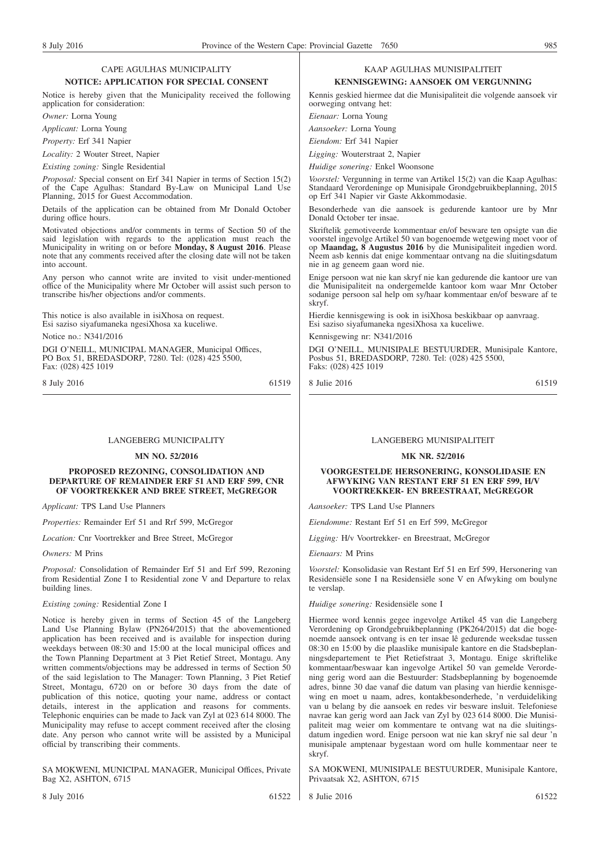#### CAPE AGULHAS MUNICIPALITY **NOTICE: APPLICATION FOR SPECIAL CONSENT**

Notice is hereby given that the Municipality received the following application for consideration:

*Owner:* Lorna Young

*Applicant:* Lorna Young

*Property:* Erf 341 Napier

*Locality:* 2 Wouter Street, Napier

*Existing zoning:* Single Residential

*Proposal:* Special consent on Erf 341 Napier in terms of Section 15(2) of the Cape Agulhas: Standard By-Law on Municipal Land Use Planning, 2015 for Guest Accommodation.

Details of the application can be obtained from Mr Donald October during office hours.

Motivated objections and/or comments in terms of Section 50 of the said legislation with regards to the application must reach the Municipality in writing on or before **Monday, 8 August 2016**. Please note that any comments received after the closing date will not be taken into account.

Any person who cannot write are invited to visit under-mentioned office of the Municipality where Mr October will assist such person to transcribe his/her objections and/or comments.

This notice is also available in isiXhosa on request. Esi saziso siyafumaneka ngesiXhosa xa kuceliwe.

Notice no.: N341/2016

DGI O'NEILL, MUNICIPAL MANAGER, Municipal Offices, PO Box 51, BREDASDORP, 7280. Tel: (028) 425 5500, Fax: (028) 425 1019

8 July 2016 61519

LANGEBERG MUNICIPALITY

#### **MN NO. 52/2016**

#### **PROPOSED REZONING, CONSOLIDATION AND DEPARTURE OF REMAINDER ERF 51 AND ERF 599, CNR OF VOORTREKKER AND BREE STREET, McGREGOR**

*Applicant:* TPS Land Use Planners

*Properties:* Remainder Erf 51 and Rrf 599, McGregor

*Location:* Cnr Voortrekker and Bree Street, McGregor

*Owners:* M Prins

*Proposal:* Consolidation of Remainder Erf 51 and Erf 599, Rezoning from Residential Zone I to Residential zone V and Departure to relax building lines.

*Existing zoning:* Residential Zone I

Notice is hereby given in terms of Section 45 of the Langeberg Land Use Planning Bylaw (PN264/2015) that the abovementioned application has been received and is available for inspection during weekdays between 08:30 and 15:00 at the local municipal offices and the Town Planning Department at 3 Piet Retief Street, Montagu. Any written comments/objections may be addressed in terms of Section 50 of the said legislation to The Manager: Town Planning, 3 Piet Retief Street, Montagu, 6720 on or before 30 days from the date of publication of this notice, quoting your name, address or contact details, interest in the application and reasons for comments. Telephonic enquiries can be made to Jack van Zyl at 023 614 8000. The Municipality may refuse to accept comment received after the closing date. Any person who cannot write will be assisted by a Municipal official by transcribing their comments.

SA MOKWENI, MUNICIPAL MANAGER, Municipal Offices, Private Bag X2, ASHTON, 6715

#### KAAP AGULHAS MUNISIPALITEIT **KENNISGEWING: AANSOEK OM VERGUNNING**

Kennis geskied hiermee dat die Munisipaliteit die volgende aansoek vir oorweging ontvang het:

*Eienaar:* Lorna Young

*Aansoeker:* Lorna Young

*Eiendom:* Erf 341 Napier

*Ligging:* Wouterstraat 2, Napier *Huidige sonering:* Enkel Woonsone

*Voorstel:* Vergunning in terme van Artikel 15(2) van die Kaap Agulhas: Standaard Verordeninge op Munisipale Grondgebruikbeplanning, 2015 op Erf 341 Napier vir Gaste Akkommodasie.

Besonderhede van die aansoek is gedurende kantoor ure by Mnr Donald October ter insae.

Skriftelik gemotiveerde kommentaar en/of besware ten opsigte van die voorstel ingevolge Artikel 50 van bogenoemde wetgewing moet voor of op **Maandag, 8 Augustus 2016** by die Munisipaliteit ingedien word. Neem asb kennis dat enige kommentaar ontvang na die sluitingsdatum nie in ag geneem gaan word nie.

Enige persoon wat nie kan skryf nie kan gedurende die kantoor ure van die Munisipaliteit na ondergemelde kantoor kom waar Mnr October sodanige persoon sal help om sy/haar kommentaar en/of besware af te skryf.

Hierdie kennisgewing is ook in isiXhosa beskikbaar op aanvraag. Esi saziso siyafumaneka ngesiXhosa xa kuceliwe.

Kennisgewing nr: N341/2016

DGI O'NEILL, MUNISIPALE BESTUURDER, Munisipale Kantore, Posbus 51, BREDASDORP, 7280. Tel: (028) 425 5500, Faks: (028) 425 1019

8 Julie 2016 61519

#### LANGEBERG MUNISIPALITEIT

#### **MK NR. 52/2016**

#### **VOORGESTELDE HERSONERING, KONSOLIDASIE EN AFWYKING VAN RESTANT ERF 51 EN ERF 599, H/V VOORTREKKER- EN BREESTRAAT, McGREGOR**

*Aansoeker:* TPS Land Use Planners

*Eiendomme:* Restant Erf 51 en Erf 599, McGregor

*Ligging:* H/v Voortrekker- en Breestraat, McGregor

*Eienaars:* M Prins

*Voorstel:* Konsolidasie van Restant Erf 51 en Erf 599, Hersonering van Residensiële sone I na Residensiële sone V en Afwyking om boulyne te verslap.

*Huidige sonering:* Residensiële sone I

Hiermee word kennis gegee ingevolge Artikel 45 van die Langeberg Verordening op Grondgebruikbeplanning (PK264/2015) dat die bogenoemde aansoek ontvang is en ter insae lê gedurende weeksdae tussen 08:30 en 15:00 by die plaaslike munisipale kantore en die Stadsbeplanningsdepartement te Piet Retiefstraat 3, Montagu. Enige skriftelike kommentaar/beswaar kan ingevolge Artikel 50 van gemelde Verordening gerig word aan die Bestuurder: Stadsbeplanning by bogenoemde adres, binne 30 dae vanaf die datum van plasing van hierdie kennisgewing en moet u naam, adres, kontakbesonderhede, 'n verduideliking van u belang by die aansoek en redes vir besware insluit. Telefoniese navrae kan gerig word aan Jack van Zyl by 023 614 8000. Die Munisipaliteit mag weier om kommentare te ontvang wat na die sluitingsdatum ingedien word. Enige persoon wat nie kan skryf nie sal deur 'n munisipale amptenaar bygestaan word om hulle kommentaar neer te skryf.

SA MOKWENI, MUNISIPALE BESTUURDER, Munisipale Kantore, Privaatsak X2, ASHTON, 6715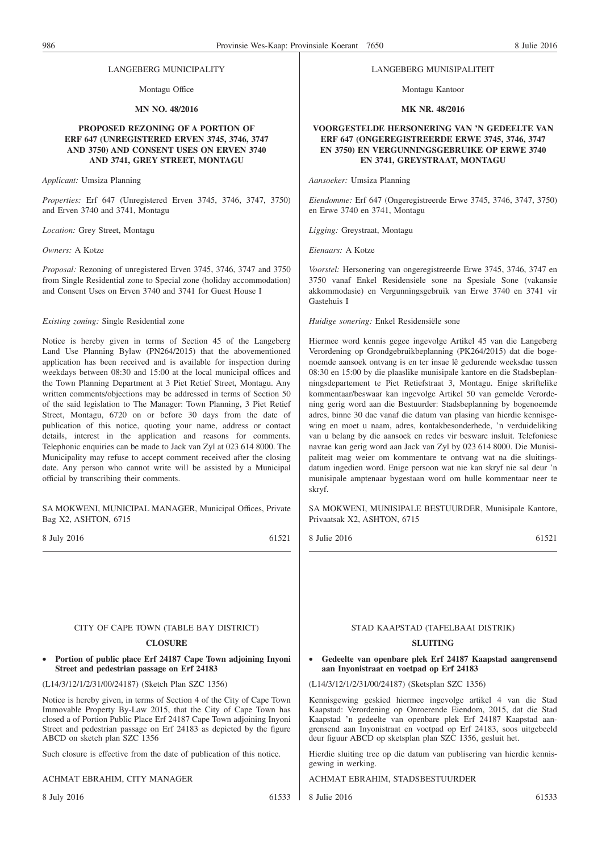#### LANGEBERG MUNICIPALITY

Montagu Office

#### **MN NO. 48/2016**

#### **PROPOSED REZONING OF A PORTION OF ERF 647 (UNREGISTERED ERVEN 3745, 3746, 3747 AND 3750) AND CONSENT USES ON ERVEN 3740 AND 3741, GREY STREET, MONTAGU**

*Applicant:* Umsiza Planning

*Properties:* Erf 647 (Unregistered Erven 3745, 3746, 3747, 3750) and Erven 3740 and 3741, Montagu

*Location:* Grey Street, Montagu

*Owners:* A Kotze

*Proposal:* Rezoning of unregistered Erven 3745, 3746, 3747 and 3750 from Single Residential zone to Special zone (holiday accommodation) and Consent Uses on Erven 3740 and 3741 for Guest House I

#### *Existing zoning:* Single Residential zone

Notice is hereby given in terms of Section 45 of the Langeberg Land Use Planning Bylaw (PN264/2015) that the abovementioned application has been received and is available for inspection during weekdays between 08:30 and 15:00 at the local municipal offices and the Town Planning Department at 3 Piet Retief Street, Montagu. Any written comments/objections may be addressed in terms of Section 50 of the said legislation to The Manager: Town Planning, 3 Piet Retief Street, Montagu, 6720 on or before 30 days from the date of publication of this notice, quoting your name, address or contact details, interest in the application and reasons for comments. Telephonic enquiries can be made to Jack van Zyl at 023 614 8000. The Municipality may refuse to accept comment received after the closing date. Any person who cannot write will be assisted by a Municipal official by transcribing their comments.

#### SA MOKWENI, MUNICIPAL MANAGER, Municipal Offices, Private Bag X2, ASHTON, 6715

8 July 2016 61521

#### LANGEBERG MUNISIPALITEIT

Montagu Kantoor

#### **MK NR. 48/2016**

#### **VOORGESTELDE HERSONERING VAN 'N GEDEELTE VAN ERF 647 (ONGEREGISTREERDE ERWE 3745, 3746, 3747 EN 3750) EN VERGUNNINGSGEBRUIKE OP ERWE 3740 EN 3741, GREYSTRAAT, MONTAGU**

*Aansoeker:* Umsiza Planning

*Eiendomme:* Erf 647 (Ongeregistreerde Erwe 3745, 3746, 3747, 3750) en Erwe 3740 en 3741, Montagu

*Ligging:* Greystraat, Montagu

*Eienaars:* A Kotze

*Voorstel:* Hersonering van ongeregistreerde Erwe 3745, 3746, 3747 en 3750 vanaf Enkel Residensiële sone na Spesiale Sone (vakansie akkommodasie) en Vergunningsgebruik van Erwe 3740 en 3741 vir Gastehuis I

*Huidige sonering:* Enkel Residensiële sone

Hiermee word kennis gegee ingevolge Artikel 45 van die Langeberg Verordening op Grondgebruikbeplanning (PK264/2015) dat die bogenoemde aansoek ontvang is en ter insae lê gedurende weeksdae tussen 08:30 en 15:00 by die plaaslike munisipale kantore en die Stadsbeplanningsdepartement te Piet Retiefstraat 3, Montagu. Enige skriftelike kommentaar/beswaar kan ingevolge Artikel 50 van gemelde Verordening gerig word aan die Bestuurder: Stadsbeplanning by bogenoemde adres, binne 30 dae vanaf die datum van plasing van hierdie kennisgewing en moet u naam, adres, kontakbesonderhede, 'n verduideliking van u belang by die aansoek en redes vir besware insluit. Telefoniese navrae kan gerig word aan Jack van Zyl by 023 614 8000. Die Munisipaliteit mag weier om kommentare te ontvang wat na die sluitingsdatum ingedien word. Enige persoon wat nie kan skryf nie sal deur 'n munisipale amptenaar bygestaan word om hulle kommentaar neer te skryf.

SA MOKWENI, MUNISIPALE BESTUURDER, Munisipale Kantore, Privaatsak X2, ASHTON, 6715

8 Julie 2016 61521

#### CITY OF CAPE TOWN (TABLE BAY DISTRICT)

#### **CLOSURE**

• **Portion of public place Erf 24187 Cape Town adjoining Inyoni Street and pedestrian passage on Erf 24183**

(L14/3/12/1/2/31/00/24187) (Sketch Plan SZC 1356)

Notice is hereby given, in terms of Section 4 of the City of Cape Town Immovable Property By-Law 2015, that the City of Cape Town has closed a of Portion Public Place Erf 24187 Cape Town adjoining Inyoni Street and pedestrian passage on Erf 24183 as depicted by the figure ABCD on sketch plan SZC 1356

Such closure is effective from the date of publication of this notice.

#### ACHMAT EBRAHIM, CITY MANAGER

8 July 2016 61533

## STAD KAAPSTAD (TAFELBAAI DISTRIK)

#### **SLUITING**

• **Gedeelte van openbare plek Erf 24187 Kaapstad aangrensend aan Inyonistraat en voetpad op Erf 24183**

(L14/3/12/1/2/31/00/24187) (Sketsplan SZC 1356)

Kennisgewing geskied hiermee ingevolge artikel 4 van die Stad Kaapstad: Verordening op Onroerende Eiendom, 2015, dat die Stad Kaapstad 'n gedeelte van openbare plek Erf 24187 Kaapstad aangrensend aan Inyonistraat en voetpad op Erf 24183, soos uitgebeeld deur figuur ABCD op sketsplan plan SZC 1356, gesluit het.

Hierdie sluiting tree op die datum van publisering van hierdie kennisgewing in werking.

ACHMAT EBRAHIM, STADSBESTUURDER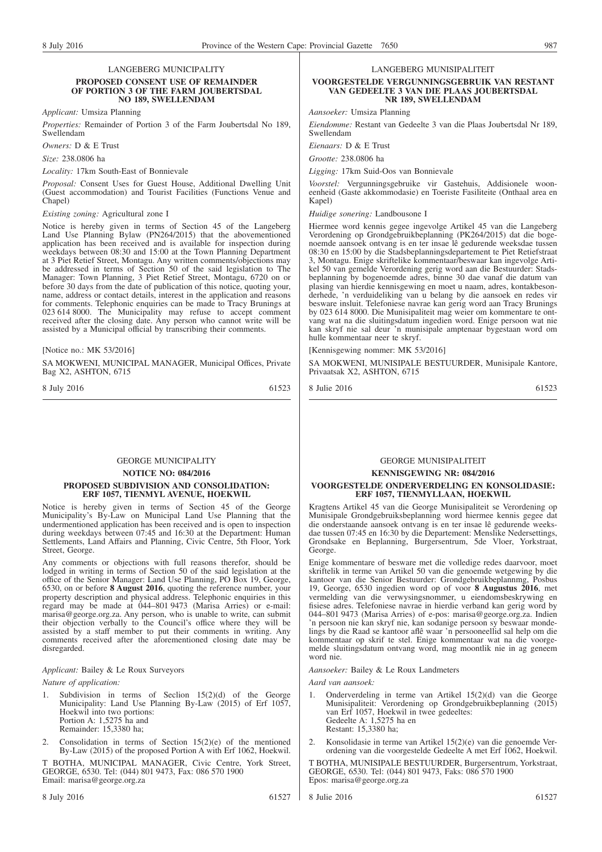LANGEBERG MUNICIPALITY

#### **PROPOSED CONSENT USE OF REMAINDER OF PORTION 3 OF THE FARM JOUBERTSDAL NO 189, SWELLENDAM**

*Applicant:* Umsiza Planning

*Properties:* Remainder of Portion 3 of the Farm Joubertsdal No 189, Swellendam

*Owners:* D & E Trust

*Size:* 238.0806 ha

*Locality:* 17km South-East of Bonnievale

*Proposal:* Consent Uses for Guest House, Additional Dwelling Unit (Guest accommodation) and Tourist Facilities (Functions Venue and Chapel)

*Existing zoning:* Agricultural zone I

Notice is hereby given in terms of Section 45 of the Langeberg Land Use Planning Bylaw (PN264/2015) that the abovementioned application has been received and is available for inspection during weekdays between 08:30 and 15:00 at the Town Planning Department at 3 Piet Retief Street, Montagu. Any written comments/objections may be addressed in terms of Section 50 of the said legislation to The Manager: Town Planning, 3 Piet Retief Street, Montagu, 6720 on or before 30 days from the date of publication of this notice, quoting your, name, address or contact details, interest in the application and reasons for comments. Telephonic enquiries can be made to Tracy Brunings at 023 614 8000. The Municipality may refuse to accept comment received after the closing date. Any person who cannot write will be assisted by a Municipal official by transcribing their comments.

[Notice no.: MK 53/2016]

SA MOKWENI, MUNICIPAL MANAGER, Municipal Offices, Private Bag X2, ASHTON, 6715

8 July 2016 61523

#### GEORGE MUNICIPALITY

**NOTICE NO: 084/2016**

#### **PROPOSED SUBDIVISION AND CONSOLIDATION: ERF 1057, TIENMYL AVENUE, HOEKWIL**

Notice is hereby given in terms of Section 45 of the George Municipality's By-Law on Municipal Land Use Planning that the undermentioned application has been received and is open to inspection during weekdays between 07:45 and 16:30 at the Department: Human Settlements, Land Affairs and Planning, Civic Centre, 5th Floor, York Street, George.

Any comments or objections with full reasons therefor, should be lodged in writing in terms of Section 50 of the said legislation at the office of the Senior Manager: Land Use Planning, PO Box 19, George, 6530, on or before **8 August 2016**, quoting the reference number, your property description and physical address. Telephonic enquiries in this regard may be made at 044–801 9473 (Marisa Arries) or e-mail: marisa@george.org.za. Any person, who is unable to write, can submit their objection verbally to the Council's office where they will be assisted by a staff member to put their comments in writing. Any comments received after the aforementioned closing date may be disregarded.

#### *Applicant:* Bailey & Le Roux Surveyors

*Nature of application:*

- Subdivision in terms of Seclion  $15(2)(d)$  of the George Municipality: Land Use Planning By-Law (2015) of Erf 1057, Hoekwil into two portions: Portion A: 1,5275 ha and Remainder: 15,3380 ha;
- 2. Consolidation in terms of Section 15(2)(e) of the mentioned By-Law (2015) of the proposed Portion A with Erf 1062, Hoekwil.

T BOTHA, MUNICIPAL MANAGER, Civic Centre, York Street, GEORGE, 6530. Tel: (044) 801 9473, Fax: 086 570 1900 Email: marisa@george.org.za

LANGEBERG MUNISIPALITEIT

#### **VOORGESTELDE VERGUNNINGSGEBRUIK VAN RESTANT VAN GEDEELTE 3 VAN DIE PLAAS JOUBERTSDAL NR 189, SWELLENDAM**

*Aansoeker:* Umsiza Planning

*Eiendomme:* Restant van Gedeelte 3 van die Plaas Joubertsdal Nr 189, Swellendam

*Eienaars:* D & E Trust

*Grootte:* 238.0806 ha

*Ligging:* 17km Suid-Oos van Bonnievale

*Voorstel:* Vergunningsgebruike vir Gastehuis, Addisionele wooneenheid (Gaste akkommodasie) en Toeriste Fasiliteite (Onthaal area en Kapel)

*Huidige sonering:* Landbousone I

Hiermee word kennis gegee ingevolge Artikel 45 van die Langeberg Verordening op Grondgebruikbeplanning (PK264/2015) dat die bogenoemde aansoek ontvang is en ter insae lê gedurende weeksdae tussen 08:30 en 15:00 by die Stadsbeplanningsdepartement te Piet Retiefstraat 3, Montagu. Enige skriftelike kommentaar/beswaar kan ingevolge Artikel 50 van gemelde Verordening gerig word aan die Bestuurder: Stadsbeplanning by bogenoemde adres, binne 30 dae vanaf die datum van plasing van hierdie kennisgewing en moet u naam, adres, kontakbesonderhede, 'n verduideliking van u belang by die aansoek en redes vir besware insluit. Telefoniese navrae kan gerig word aan Tracy Brunings by 023 614 8000. Die Munisipaliteit mag weier om kommentare te ontvang wat na die sluitingsdatum ingedien word. Enige persoon wat nie kan skryf nie sal deur 'n munisipale amptenaar bygestaan word om hulle kommentaar neer te skryf.

[Kennisgewing nommer: MK 53/2016]

SA MOKWENI, MUNISIPALE BESTUURDER, Munisipale Kantore, Privaatsak X2, ASHTON, 6715

8 Julie 2016 61523

#### GEORGE MUNISIPALITEIT

**KENNISGEWING NR: 084/2016**

#### **VOORGESTELDE ONDERVERDELING EN KONSOLIDASIE: ERF 1057, TIENMYLLAAN, HOEKWIL**

Kragtens Artikel 45 van die George Munisipaliteit se Verordening op Munisipale Grondgebruiksbeplanning word hiermee kennis gegee dat die onderstaande aansoek ontvang is en ter insae lê gedurende weeksdae tussen 07:45 en 16:30 by die Departement: Menslike Nedersettings, Grondsake en Beplanning, Burgersentrum, 5de Vloer, Yorkstraat, George.

Enige kommentare of besware met die volledige redes daarvoor, moet skriftelik in terme van Artikel 50 van die genoemde wetgewing by die kantoor van die Senior Bestuurder: Grondgebruikbeplannmg, Posbus 19, George, 6530 ingedien word op of voor **8 Augustus 2016**, met vermelding van die verwysingsnommer, u eiendomsbeskrywing en fisiese adres. Telefoniese navrae in hierdie verband kan gerig word by 044–801 9473 (Marisa Arries) of e-pos: marisa@george.org.za. Indien 'n persoon nie kan skryf nie, kan sodanige persoon sy beswaar mondelings by die Raad se kantoor aflê waar 'n persooneellid sal help om die kommentaar op skrif te stel. Enige kommentaar wat na die voorgemelde sluitingsdatum ontvang word, mag moontlik nie in ag geneem word nie.

*Aansoeker:* Bailey & Le Roux Landmeters

*Aard van aansoek:*

- 1. Onderverdeling in terme van Artikel 15(2)(d) van die George Munisipaliteit: Verordening op Grondgebruikbeplanning (2015) van Erf 1057, Hoekwil in twee gedeeltes: Gedeelte A: 1,5275 ha en Restant: 15,3380 ha;
- 2. Konsolidasie in terme van Artikel 15(2)(e) van die genoemde Verordening van die voorgestelde Gedeelte A met Erf 1062, Hoekwil.

T BOTHA, MUNISIPALE BESTUURDER, Burgersentrum, Yorkstraat, GEORGE, 6530. Tel: (044) 801 9473, Faks: 086 570 1900 Epos: marisa@george.org.za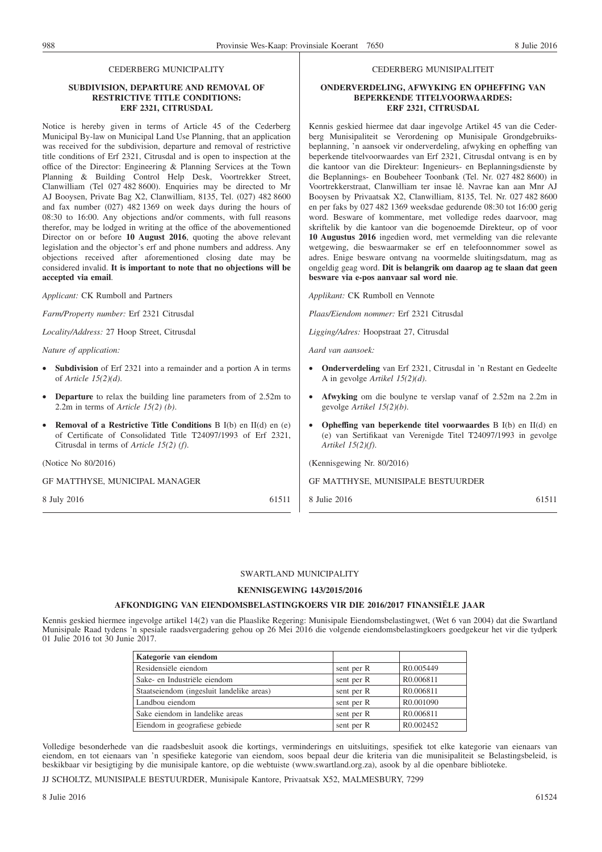#### CEDERBERG MUNICIPALITY

#### **SUBDIVISION, DEPARTURE AND REMOVAL OF RESTRICTIVE TITLE CONDITIONS: ERF 2321, CITRUSDAL**

Notice is hereby given in terms of Article 45 of the Cederberg Municipal By-law on Municipal Land Use Planning, that an application was received for the subdivision, departure and removal of restrictive title conditions of Erf 2321, Citrusdal and is open to inspection at the office of the Director: Engineering & Planning Services at the Town Planning & Building Control Help Desk, Voortrekker Street, Clanwilliam (Tel 027 482 8600). Enquiries may be directed to Mr AJ Booysen, Private Bag X2, Clanwilliam, 8135, Tel. (027) 482 8600 and fax number (027) 482 1369 on week days during the hours of 08:30 to 16:00. Any objections and/or comments, with full reasons therefor, may be lodged in writing at the office of the abovementioned Director on or before **10 August 2016**, quoting the above relevant legislation and the objector's erf and phone numbers and address. Any objections received after aforementioned closing date may be considered invalid. **It is important to note that no objections will be accepted via email**.

*Applicant:* CK Rumboll and Partners

*Farm/Property number:* Erf 2321 Citrusdal

*Locality/Address:* 27 Hoop Street, Citrusdal

*Nature of application:*

- Subdivision of Erf 2321 into a remainder and a portion A in terms of *Article 15(2)(d)*.
- **Departure** to relax the building line parameters from of 2.52m to 2.2m in terms of *Article 15(2) (b)*.
- **Removal of a Restrictive Title Conditions** B I(b) en II(d) en (e) of Certificate of Consolidated Title T24097/1993 of Erf 2321, Citrusdal in terms of *Article 15(2) (f)*.

(Notice No 80/2016)

GF MATTHYSE, MUNICIPAL MANAGER

8 July 2016 61511

#### CEDERBERG MUNISIPALITEIT

#### **ONDERVERDELING, AFWYKING EN OPHEFFING VAN BEPERKENDE TITELVOORWAARDES: ERF 2321, CITRUSDAL**

Kennis geskied hiermee dat daar ingevolge Artikel 45 van die Cederberg Munisipaliteit se Verordening op Munisipale Grondgebruiksbeplanning, 'n aansoek vir onderverdeling, afwyking en opheffing van beperkende titelvoorwaardes van Erf 2321, Citrusdal ontvang is en by die kantoor van die Direkteur: Ingenieurs- en Beplanningsdienste by die Beplannings- en Boubeheer Toonbank (Tel. Nr. 027 482 8600) in Voortrekkerstraat, Clanwilliam ter insae lê. Navrae kan aan Mnr AJ Booysen by Privaatsak X2, Clanwilliam, 8135, Tel. Nr. 027 482 8600 en per faks by 027 482 1369 weeksdae gedurende 08:30 tot 16:00 gerig word. Besware of kommentare, met volledige redes daarvoor, mag skriftelik by die kantoor van die bogenoemde Direkteur, op of voor **10 Augustus 2016** ingedien word, met vermelding van die relevante wetgewing, die beswaarmaker se erf en telefoonnommer sowel as adres. Enige besware ontvang na voormelde sluitingsdatum, mag as ongeldig geag word. **Dit is belangrik om daarop ag te slaan dat geen besware via e-pos aanvaar sal word nie**.

*Applikant:* CK Rumboll en Vennote

*Plaas/Eiendom nommer:* Erf 2321 Citrusdal

*Ligging/Adres:* Hoopstraat 27, Citrusdal

*Aard van aansoek:*

- **Onderverdeling** van Erf 2321, Citrusdal in 'n Restant en Gedeelte A in gevolge *Artikel 15(2)(d)*.
- **Afwyking** om die boulyne te verslap vanaf of 2.52m na 2.2m in gevolge *Artikel 15(2)(b)*.
- **Opheffing van beperkende titel voorwaardes** B I(b) en II(d) en (e) van Sertifikaat van Verenigde Titel T24097/1993 in gevolge *Artikel 15(2)(f)*.

(Kennisgewing Nr. 80/2016)

GF MATTHYSE, MUNISIPALE BESTUURDER

8 Julie 2016 61511

#### SWARTLAND MUNICIPALITY

#### **KENNISGEWING 143/2015/2016**

#### **AFKONDIGING VAN EIENDOMSBELASTINGKOERS VIR DIE 2016/2017 FINANSIËLE JAAR**

Kennis geskied hiermee ingevolge artikel 14(2) van die Plaaslike Regering: Munisipale Eiendomsbelastingwet, (Wet 6 van 2004) dat die Swartland Munisipale Raad tydens 'n spesiale raadsvergadering gehou op 26 Mei 2016 die volgende eiendomsbelastingkoers goedgekeur het vir die tydperk 01 Julie 2016 tot 30 Junie 2017.

| Kategorie van eiendom                     |            |                        |
|-------------------------------------------|------------|------------------------|
| Residensiële eiendom                      | sent per R | R <sub>0.005449</sub>  |
| Sake- en Industriële eiendom              | sent per R | R0.006811              |
| Staatseiendom (ingesluit landelike areas) | sent per R | R0.006811              |
| Landbou eiendom                           | sent per R | R <sub>0.001090</sub>  |
| Sake eiendom in landelike areas           | sent per R | R0.006811              |
| Eiendom in geografiese gebiede            | sent per R | R <sub>0</sub> .002452 |

Volledige besonderhede van die raadsbesluit asook die kortings, verminderings en uitsluitings, spesifiek tot elke kategorie van eienaars van eiendom, en tot eienaars van 'n spesifieke kategorie van eiendom, soos bepaal deur die kriteria van die munisipaliteit se Belastingsbeleid, is beskikbaar vir besigtiging by die munisipale kantore, op die webtuiste (www.swartland.org.za), asook by al die openbare biblioteke.

JJ SCHOLTZ, MUNISIPALE BESTUURDER, Munisipale Kantore, Privaatsak X52, MALMESBURY, 7299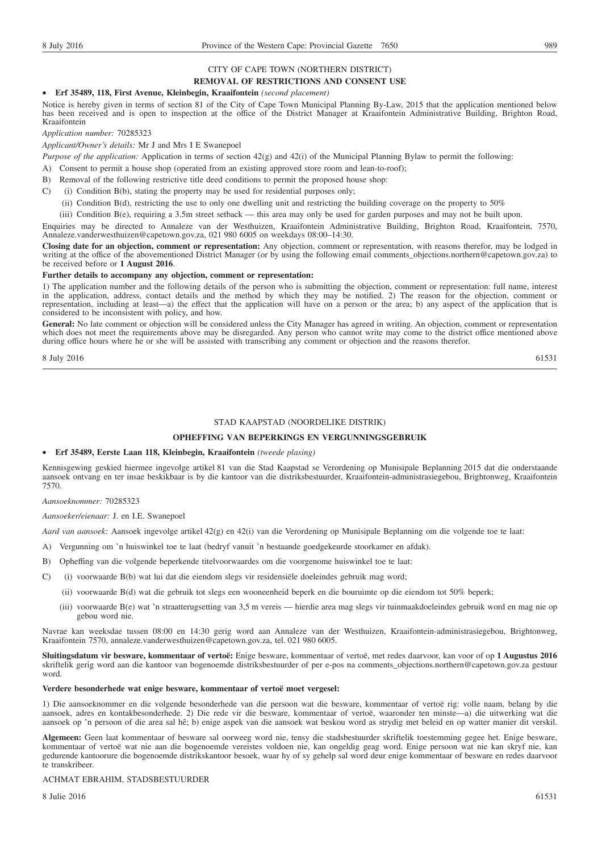## CITY OF CAPE TOWN (NORTHERN DISTRICT)

#### **REMOVAL OF RESTRICTIONS AND CONSENT USE**

#### • **Erf 35489, 118, First Avenue, Kleinbegin, Kraaifontein** *(second placement)*

Notice is hereby given in terms of section 81 of the City of Cape Town Municipal Planning By-Law, 2015 that the application mentioned below has been received and is open to inspection at the office of the District Manager at Kraaifontein Administrative Building, Brighton Road, Kraaifontein

*Application number:* 70285323

*Applicant/Owner's details:* Mr J and Mrs I E Swanepoel

*Purpose of the application:* Application in terms of section 42(g) and 42(i) of the Municipal Planning Bylaw to permit the following:

- A) Consent to permit a house shop (operated from an existing approved store room and lean-to-roof);
- B) Removal of the following restrictive title deed conditions to permit the proposed house shop:
- C) (i) Condition B(b), stating the property may be used for residential purposes only;
	- (ii) Condition B(d), restricting the use to only one dwelling unit and restricting the building coverage on the property to 50%

(iii) Condition B(e), requiring a 3.5m street setback — this area may only be used for garden purposes and may not be built upon.

Enquiries may be directed to Annaleze van der Westhuizen, Kraaifontein Administrative Building, Brighton Road, Kraaifontein, 7570, Annaleze.vanderwesthuizen@capetown.gov.za, 021 980 6005 on weekdays 08:00–14:30.

**Closing date for an objection, comment or representation:** Any objection, comment or representation, with reasons therefor, may be lodged in writing at the office of the abovementioned District Manager (or by using the following email comments\_objections.northern@capetown.gov.za) to be received before or **1 August 2016**.

#### **Further details to accompany any objection, comment or representation:**

1) The application number and the following details of the person who is submitting the objection, comment or representation: full name, interest in the application, address, contact details and the method by which they may be notified. 2) The reason for the objection, comment or representation, including at least—a) the effect that the application will have on a person or the area; b) any aspect of the application that is considered to be inconsistent with policy, and how.

General: No late comment or objection will be considered unless the City Manager has agreed in writing. An objection, comment or representation which does not meet the requirements above may be disregarded. Any person who cannot write may come to the district office mentioned above during office hours where he or she will be assisted with transcribing any comment or objection and the reasons therefor.

 $8 \text{ July } 2016$  61531

#### STAD KAAPSTAD (NOORDELIKE DISTRIK)

#### **OPHEFFING VAN BEPERKINGS EN VERGUNNINGSGEBRUIK**

#### • **Erf 35489, Eerste Laan 118, Kleinbegin, Kraaifontein** *(tweede plasing)*

Kennisgewing geskied hiermee ingevolge artikel 81 van die Stad Kaapstad se Verordening op Munisipale Beplanning 2015 dat die onderstaande aansoek ontvang en ter insae beskikbaar is by die kantoor van die distriksbestuurder, Kraaifontein-administrasiegebou, Brightonweg, Kraaifontein 7570.

*Aansoeknommer:* 70285323

*Aansoeker/eienaar:* J. en I.E. Swanepoel

*Aard van aansoek:* Aansoek ingevolge artikel 42(g) en 42(i) van die Verordening op Munisipale Beplanning om die volgende toe te laat:

- A) Vergunning om 'n huiswinkel toe te laat (bedryf vanuit 'n bestaande goedgekeurde stoorkamer en afdak).
- B) Opheffing van die volgende beperkende titelvoorwaardes om die voorgenome huiswinkel toe te laat:
- C) (i) voorwaarde B(b) wat lui dat die eiendom slegs vir residensiële doeleindes gebruik mag word;
	- (ii) voorwaarde B(d) wat die gebruik tot slegs een wooneenheid beperk en die bouruimte op die eiendom tot 50% beperk;
	- (iii) voorwaarde B(e) wat 'n straatterugsetting van 3,5 m vereis hierdie area mag slegs vir tuinmaakdoeleindes gebruik word en mag nie op gebou word nie.

Navrae kan weeksdae tussen 08:00 en 14:30 gerig word aan Annaleze van der Westhuizen, Kraaifontein-administrasiegebou, Brightonweg, Kraaifontein 7570, annaleze.vanderwesthuizen@capetown.gov.za, tel. 021 980 6005.

**Sluitingsdatum vir besware, kommentaar of vertoë:** Enige besware, kommentaar of vertoë, met redes daarvoor, kan voor of op **1 Augustus 2016** skriftelik gerig word aan die kantoor van bogenoemde distriksbestuurder of per e-pos na comments\_objections.northern@capetown.gov.za gestuur word.

#### **Verdere besonderhede wat enige besware, kommentaar of vertoë moet vergesel:**

1) Die aansoeknommer en die volgende besonderhede van die persoon wat die besware, kommentaar of vertoë rig: volle naam, belang by die aansoek, adres en kontakbesonderhede. 2) Die rede vir die besware, kommentaar of vertoë, waaronder ten minste—a) die uitwerking wat die aansoek op 'n persoon of die area sal hê; b) enige aspek van die aansoek wat beskou word as strydig met beleid en op watter manier dit verskil.

**Algemeen:** Geen laat kommentaar of besware sal oorweeg word nie, tensy die stadsbestuurder skriftelik toestemming gegee het. Enige besware, kommentaar of vertoë wat nie aan die bogenoemde vereistes voldoen nie, kan ongeldig geag word. Enige persoon wat nie kan skryf nie, kan gedurende kantoorure die bogenoemde distrikskantoor besoek, waar hy of sy gehelp sal word deur enige kommentaar of besware en redes daarvoor te transkribeer.

#### ACHMAT EBRAHIM, STADSBESTUURDER

 $8 \text{ Julie } 2016$  61531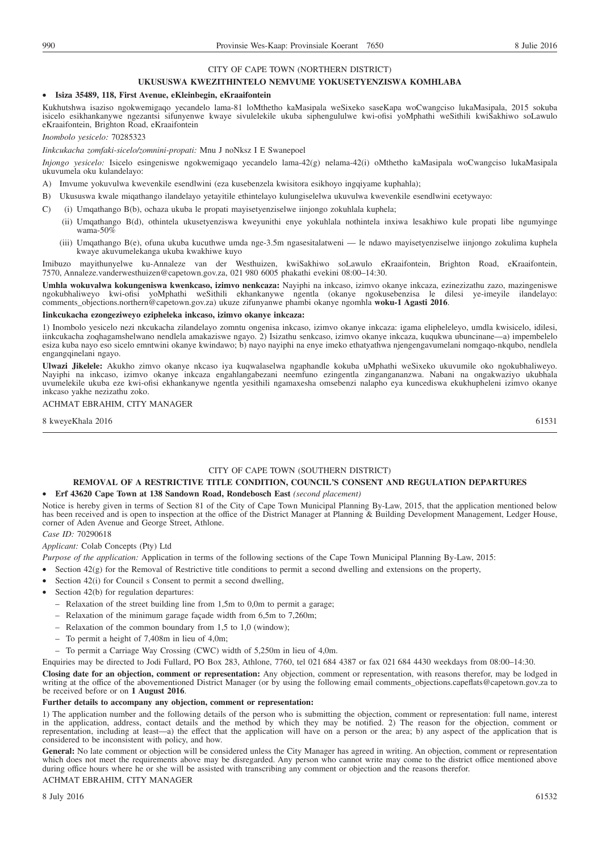#### CITY OF CAPE TOWN (NORTHERN DISTRICT)

#### **UKUSUSWA KWEZITHINTELO NEMVUME YOKUSETYENZISWA KOMHLABA**

#### • **Isiza 35489, 118, First Avenue, eKleinbegin, eKraaifontein**

Kukhutshwa isaziso ngokwemigaqo yecandelo lama-81 loMthetho kaMasipala weSixeko saseKapa woCwangciso lukaMasipala, 2015 sokuba isicelo esikhankanywe ngezantsi sifunyenwe kwaye sivulelekile ukuba siphengululwe kwi-ofisi yoMphathi weSithili kwiSakhiwo soLawulo eKraaifontein, Brighton Road, eKraaifontein

*Inombolo yesicelo:* 70285323

*Iinkcukacha zomfaki-sicelo/zomnini-propati:* Mnu J noNksz I E Swanepoel

*Injongo yesicelo:* Isicelo esingeniswe ngokwemigaqo yecandelo lama-42(g) nelama-42(i) oMthetho kaMasipala woCwangciso lukaMasipala ukuvumela oku kulandelayo:

A) Imvume yokuvulwa kwevenkile esendlwini (eza kusebenzela kwisitora esikhoyo ingqiyame kuphahla);

- B) Ukususwa kwale miqathango ilandelayo yetayitile ethintelayo kulungiselelwa ukuvulwa kwevenkile esendlwini ecetywayo:
- C) (i) Umqathango B(b), ochaza ukuba le propati mayisetyenziselwe iinjongo zokuhlala kuphela;
	- (ii) Umqathango B(d), othintela ukusetyenziswa kweyunithi enye yokuhlala nothintela inxiwa lesakhiwo kule propati libe ngumyinge wama-50 $\%$
	- (iii) Umqathango B(e), ofuna ukuba kucuthwe umda nge-3.5m ngasesitalatweni le ndawo mayisetyenziselwe iinjongo zokulima kuphela kwaye akuvumelekanga ukuba kwakhiwe kuyo

Imibuzo mayithunyelwe ku-Annaleze van der Westhuizen, kwiSakhiwo soLawulo eKraaifontein, Brighton Road, eKraaifontein, 7570, Annaleze.vanderwesthuizen@capetown.gov.za, 021 980 6005 phakathi evekini 08:00–14:30.

**Umhla wokuvalwa kokungeniswa kwenkcaso, izimvo nenkcaza:** Nayiphi na inkcaso, izimvo okanye inkcaza, ezinezizathu zazo, mazingeniswe ngokubhaliweyo kwi-ofisi yoMphathi weSithili ekhankanywe ngentla (okanye ngokusebenzisa le dilesi ye-imeyile ilandelayo: comments\_objections.northern@capetown.gov.za) ukuze zifunyanwe phambi okanye ngomhla **woku-1 Agasti 2016**.

#### **Iinkcukacha ezongeziweyo ezipheleka inkcaso, izimvo okanye inkcaza:**

1) Inombolo yesicelo nezi nkcukacha zilandelayo zomntu ongenisa inkcaso, izimvo okanye inkcaza: igama elipheleleyo, umdla kwisicelo, idilesi, iinkcukacha zoqhagamshelwano nendlela amakaziswe ngayo. 2) Isizathu senkcaso, izimvo okanye inkcaza, kuqukwa ubuncinane—a) impembelelo esiza kuba nayo eso sicelo emntwini okanye kwindawo; b) nayo nayiphi na enye imeko ethatyathwa njengengavumelani nomgaqo-nkqubo, nendlela engangqinelani ngayo.

**Ulwazi Jikelele:** Akukho zimvo okanye nkcaso iya kuqwalaselwa ngaphandle kokuba uMphathi weSixeko ukuvumile oko ngokubhaliweyo. Nayiphi na inkcaso, izimvo okanye inkcaza engahlangabezani neemfuno ezingentla zingangananzwa. Nabani na ongakwaziyo ukubhala uvumelekile ukuba eze kwi-ofisi ekhankanywe ngentla yesithili ngamaxesha omsebenzi nalapho eya kuncediswa ekukhupheleni izimvo okanye inkcaso yakhe nezizathu zoko.

#### ACHMAT EBRAHIM, CITY MANAGER

8 kweyeKhala 2016 61531 61531 61531 61531 61531 61531 61531 61531 61531 61531 61531 61531 61531 61531 61531 61531 61531 61531 61531 61531 61531 61531 61531 61531 61531 61531 61531 61531 61531 61531 61531 61531 61631 61631

#### CITY OF CAPE TOWN (SOUTHERN DISTRICT)

#### **REMOVAL OF A RESTRICTIVE TITLE CONDITION, COUNCIL'S CONSENT AND REGULATION DEPARTURES**

#### • **Erf 43620 Cape Town at 138 Sandown Road, Rondebosch East** *(second placement)*

Notice is hereby given in terms of Section 81 of the City of Cape Town Municipal Planning By-Law, 2015, that the application mentioned below has been received and is open to inspection at the office of the District Manager at Planning & Building Development Management, Ledger House, corner of Aden Avenue and George Street, Athlone.

*Case ID:* 70290618

#### *Applicant:* Colab Concepts (Pty) Ltd

*Purpose of the application:* Application in terms of the following sections of the Cape Town Municipal Planning By-Law, 2015:

- Section 42(g) for the Removal of Restrictive title conditions to permit a second dwelling and extensions on the property,
- Section 42(i) for Council s Consent to permit a second dwelling,
- Section 42(b) for regulation departures:
	- Relaxation of the street building line from 1,5m to 0,0m to permit a garage;
	- Relaxation of the minimum garage façade width from 6,5m to 7,260m;
	- Relaxation of the common boundary from 1,5 to 1,0 (window);
	- To permit a height of 7,408m in lieu of 4,0m;
	- To permit a Carriage Way Crossing (CWC) width of 5,250m in lieu of 4,0m.

Enquiries may be directed to Jodi Fullard, PO Box 283, Athlone, 7760, tel 021 684 4387 or fax 021 684 4430 weekdays from 08:00–14:30.

**Closing date for an objection, comment or representation:** Any objection, comment or representation, with reasons therefor, may be lodged in writing at the office of the abovementioned District Manager (or by using the following email comments\_objections.capeflats@capetown.gov.za to be received before or on **1 August 2016**.

#### **Further details to accompany any objection, comment or representation:**

1) The application number and the following details of the person who is submitting the objection, comment or representation: full name, interest in the application, address, contact details and the method by which they may be notified. 2) The reason for the objection, comment or representation, including at least—a) the effect that the application will have on a person or the area; b) any aspect of the application that is considered to be inconsistent with policy, and how.

**General:** No late comment or objection will be considered unless the City Manager has agreed in writing. An objection, comment or representation which does not meet the requirements above may be disregarded. Any person who cannot write may come to the district office mentioned above during office hours where he or she will be assisted with transcribing any comment or objection and the reasons therefor.

ACHMAT EBRAHIM, CITY MANAGER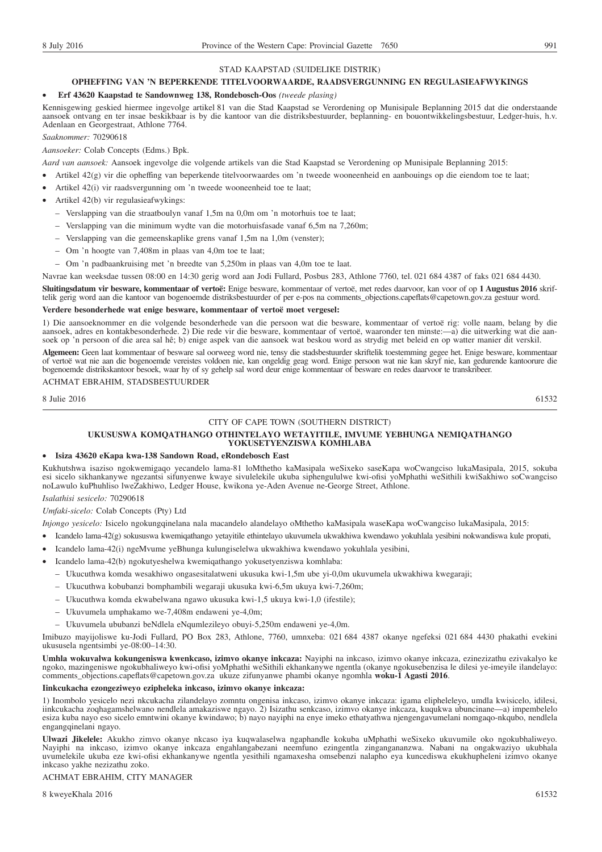#### STAD KAAPSTAD (SUIDELIKE DISTRIK)

#### **OPHEFFING VAN 'N BEPERKENDE TITELVOORWAARDE, RAADSVERGUNNING EN REGULASIEAFWYKINGS**

#### • **Erf 43620 Kaapstad te Sandownweg 138, Rondebosch-Oos** *(tweede plasing)*

Kennisgewing geskied hiermee ingevolge artikel 81 van die Stad Kaapstad se Verordening op Munisipale Beplanning 2015 dat die onderstaande aansoek ontvang en ter insae beskikbaar is by die kantoor van die distriksbestuurder, beplanning- en bouontwikkelingsbestuur, Ledger-huis, h.v. Adenlaan en Georgestraat, Athlone 7764.

*Saaknommer:* 70290618

*Aansoeker:* Colab Concepts (Edms.) Bpk.

*Aard van aansoek:* Aansoek ingevolge die volgende artikels van die Stad Kaapstad se Verordening op Munisipale Beplanning 2015:

- Artikel 42(g) vir die opheffing van beperkende titelvoorwaardes om 'n tweede wooneenheid en aanbouings op die eiendom toe te laat;
- Artikel 42(i) vir raadsvergunning om 'n tweede wooneenheid toe te laat;
- Artikel 42(b) vir regulasieafwykings:
	- Verslapping van die straatboulyn vanaf 1,5m na 0,0m om 'n motorhuis toe te laat;
	- Verslapping van die minimum wydte van die motorhuisfasade vanaf 6,5m na 7,260m;
	- Verslapping van die gemeenskaplike grens vanaf 1,5m na 1,0m (venster);
	- Om 'n hoogte van 7,408m in plaas van 4,0m toe te laat;
	- Om 'n padbaankruising met 'n breedte van 5,250m in plaas van 4,0m toe te laat.

Navrae kan weeksdae tussen 08:00 en 14:30 gerig word aan Jodi Fullard, Posbus 283, Athlone 7760, tel. 021 684 4387 of faks 021 684 4430.

**Sluitingsdatum vir besware, kommentaar of vertoë:** Enige besware, kommentaar of vertoë, met redes daarvoor, kan voor of op **1 Augustus 2016** skriftelik gerig word aan die kantoor van bogenoemde distriksbestuurder of per e-pos na comments\_objections.capeflats@capetown.gov.za gestuur word.

#### **Verdere besonderhede wat enige besware, kommentaar of vertoë moet vergesel:**

1) Die aansoeknommer en die volgende besonderhede van die persoon wat die besware, kommentaar of vertoë rig: volle naam, belang by die aansoek, adres en kontakbesonderhede. 2) Die rede vir die besware, kommentaar of vertoë, waaronder ten minste:—a) die uitwerking wat die aansoek op 'n persoon of die area sal hê; b) enige aspek van die aansoek wat beskou word as strydig met beleid en op watter manier dit verskil.

**Algemeen:** Geen laat kommentaar of besware sal oorweeg word nie, tensy die stadsbestuurder skriftelik toestemming gegee het. Enige besware, kommentaar of vertoë wat nie aan die bogenoemde vereistes voldoen nie, kan ongeldig geag word. Enige persoon wat nie kan skryf nie, kan gedurende kantoorure die bogenoemde distrikskantoor besoek, waar hy of sy gehelp sal word deur enige kommentaar of besware en redes daarvoor te transkribeer.

ACHMAT EBRAHIM, STADSBESTUURDER

 $8 \text{ Julie } 2016$  61532

#### CITY OF CAPE TOWN (SOUTHERN DISTRICT)

#### **UKUSUSWA KOMQATHANGO OTHINTELAYO WETAYITILE, IMVUME YEBHUNGA NEMIQATHANGO YOKUSETYENZISWA KOMHLABA**

#### • **Isiza 43620 eKapa kwa-138 Sandown Road, eRondebosch East**

Kukhutshwa isaziso ngokwemigaqo yecandelo lama-81 loMthetho kaMasipala weSixeko saseKapa woCwangciso lukaMasipala, 2015, sokuba esi sicelo sikhankanywe ngezantsi sifunyenwe kwaye sivulelekile ukuba siphengululwe kwi-ofisi yoMphathi weSithili kwiSakhiwo soCwangciso noLawulo kuPhuhliso lweZakhiwo, Ledger House, kwikona ye-Aden Avenue ne-George Street, Athlone.

*Isalathisi sesicelo:* 70290618

*Umfaki-sicelo:* Colab Concepts (Pty) Ltd

*Injongo yesicelo:* Isicelo ngokungqinelana nala macandelo alandelayo oMthetho kaMasipala waseKapa woCwangciso lukaMasipala, 2015:

- Icandelo lama-42(g) sokususwa kwemiqathango yetayitile ethintelayo ukuvumela ukwakhiwa kwendawo yokuhlala yesibini nokwandiswa kule propati,
- Icandelo lama-42(i) ngeMvume yeBhunga kulungiselelwa ukwakhiwa kwendawo yokuhlala yesibini,
- Icandelo lama-42(b) ngokutyeshelwa kwemiqathango yokusetyenziswa komhlaba:
	- Ukucuthwa komda wesakhiwo ongasesitalatweni ukusuka kwi-1,5m ube yi-0,0m ukuvumela ukwakhiwa kwegaraji;
	- Ukucuthwa kobubanzi bomphambili wegaraji ukusuka kwi-6,5m ukuya kwi-7,260m;
	- Ukucuthwa komda ekwabelwana ngawo ukusuka kwi-1,5 ukuya kwi-1,0 (ifestile);
	- Ukuvumela umphakamo we-7,408m endaweni ye-4,0m;
	- Ukuvumela ububanzi beNdlela eNqumlezileyo obuyi-5,250m endaweni ye-4,0m.

Imibuzo mayijoliswe ku-Jodi Fullard, PO Box 283, Athlone, 7760, umnxeba: 021 684 4387 okanye ngefeksi 021 684 4430 phakathi evekini ukususela ngentsimbi ye-08:00–14:30.

**Umhla wokuvalwa kokungeniswa kwenkcaso, izimvo okanye inkcaza:** Nayiphi na inkcaso, izimvo okanye inkcaza, ezinezizathu ezivakalyo ke ngoko, mazingeniswe ngokubhaliweyo kwi-ofisi yoMphathi weSithili ekhankanywe ngentla (okanye ngokusebenzisa le dilesi ye-imeyile ilandelayo: comments\_objections.capeflats@capetown.gov.za ukuze zifunyanwe phambi okanye ngomhla **woku-1 Agasti 2016**.

#### **Iinkcukacha ezongeziweyo ezipheleka inkcaso, izimvo okanye inkcaza:**

1) Inombolo yesicelo nezi nkcukacha zilandelayo zomntu ongenisa inkcaso, izimvo okanye inkcaza: igama elipheleleyo, umdla kwisicelo, idilesi, iinkcukacha zoqhagamshelwano nendlela amakaziswe ngayo. 2) Isizathu senkcaso, izimvo okanye inkcaza, kuqukwa ubuncinane—a) impembelelo esiza kuba nayo eso sicelo emntwini okanye kwindawo; b) nayo nayiphi na enye imeko ethatyathwa njengengavumelani nomgaqo-nkqubo, nendlela engangqinelani ngayo.

**Ulwazi Jikelele:** Akukho zimvo okanye nkcaso iya kuqwalaselwa ngaphandle kokuba uMphathi weSixeko ukuvumile oko ngokubhaliweyo. Nayiphi na inkcaso, izimvo okanye inkcaza engahlangabezani neemfuno ezingentla zingangananzwa. Nabani na ongakwaziyo ukubhala uvumelekile ukuba eze kwi-ofisi ekhankanywe ngentla yesithili ngamaxesha omsebenzi nalapho eya kuncediswa ekukhupheleni izimvo okanye inkcaso yakhe nezizathu zoko.

#### ACHMAT EBRAHIM, CITY MANAGER

8 kweyeKhala 2016 61532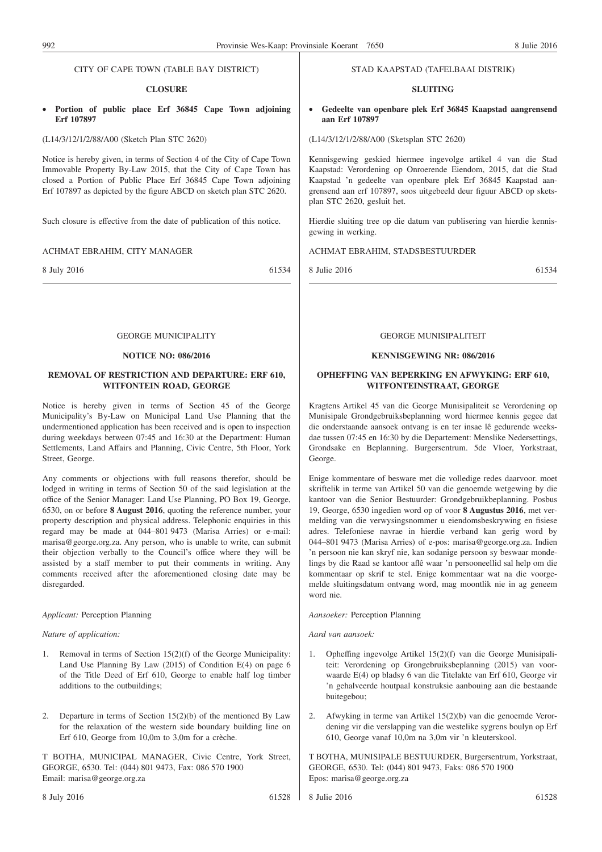#### CITY OF CAPE TOWN (TABLE BAY DISTRICT)

#### **CLOSURE**

• **Portion of public place Erf 36845 Cape Town adjoining Erf 107897**

#### (L14/3/12/1/2/88/A00 (Sketch Plan STC 2620)

Notice is hereby given, in terms of Section 4 of the City of Cape Town Immovable Property By-Law 2015, that the City of Cape Town has closed a Portion of Public Place Erf 36845 Cape Town adjoining Erf 107897 as depicted by the figure ABCD on sketch plan STC 2620.

Such closure is effective from the date of publication of this notice.

#### ACHMAT EBRAHIM, CITY MANAGER

8 July 2016 61534

#### GEORGE MUNICIPALITY

#### **NOTICE NO: 086/2016**

#### **REMOVAL OF RESTRICTION AND DEPARTURE: ERF 610, WITFONTEIN ROAD, GEORGE**

Notice is hereby given in terms of Section 45 of the George Municipality's By-Law on Municipal Land Use Planning that the undermentioned application has been received and is open to inspection during weekdays between 07:45 and 16:30 at the Department: Human Settlements, Land Affairs and Planning, Civic Centre, 5th Floor, York Street, George.

Any comments or objections with full reasons therefor, should be lodged in writing in terms of Section 50 of the said legislation at the office of the Senior Manager: Land Use Planning, PO Box 19, George, 6530, on or before **8 August 2016**, quoting the reference number, your property description and physical address. Telephonic enquiries in this regard may be made at 044–801 9473 (Marisa Arries) or e-mail: marisa@george.org.za. Any person, who is unable to write, can submit their objection verbally to the Council's office where they will be assisted by a staff member to put their comments in writing. Any comments received after the aforementioned closing date may be disregarded.

#### *Applicant:* Perception Planning

#### *Nature of application:*

- 1. Removal in terms of Section 15(2)(f) of the George Municipality: Land Use Planning By Law (2015) of Condition E(4) on page 6 of the Title Deed of Erf 610, George to enable half log timber additions to the outbuildings;
- 2. Departure in terms of Section 15(2)(b) of the mentioned By Law for the relaxation of the western side boundary building line on Erf 610, George from 10,0m to 3,0m for a crèche.

T BOTHA, MUNICIPAL MANAGER, Civic Centre, York Street, GEORGE, 6530. Tel: (044) 801 9473, Fax: 086 570 1900 Email: marisa@george.org.za

#### 8 July 2016 61528

• **Gedeelte van openbare plek Erf 36845 Kaapstad aangrensend aan Erf 107897**

STAD KAAPSTAD (TAFELBAAI DISTRIK) **SLUITING**

(L14/3/12/1/2/88/A00 (Sketsplan STC 2620)

Kennisgewing geskied hiermee ingevolge artikel 4 van die Stad Kaapstad: Verordening op Onroerende Eiendom, 2015, dat die Stad Kaapstad 'n gedeelte van openbare plek Erf 36845 Kaapstad aangrensend aan erf 107897, soos uitgebeeld deur figuur ABCD op sketsplan STC 2620, gesluit het.

Hierdie sluiting tree op die datum van publisering van hierdie kennisgewing in werking.

#### ACHMAT EBRAHIM, STADSBESTUURDER

8 Julie 2016 61534

#### GEORGE MUNISIPALITEIT

#### **KENNISGEWING NR: 086/2016**

#### **OPHEFFING VAN BEPERKING EN AFWYKING: ERF 610, WITFONTEINSTRAAT, GEORGE**

Kragtens Artikel 45 van die George Munisipaliteit se Verordening op Munisipale Grondgebruiksbeplanning word hiermee kennis gegee dat die onderstaande aansoek ontvang is en ter insae lê gedurende weeksdae tussen 07:45 en 16:30 by die Departement: Menslike Nedersettings, Grondsake en Beplanning. Burgersentrum. 5de Vloer, Yorkstraat, George.

Enige kommentare of besware met die volledige redes daarvoor. moet skriftelik in terme van Artikel 50 van die genoemde wetgewing by die kantoor van die Senior Bestuurder: Grondgebruikbeplanning. Posbus 19, George, 6530 ingedien word op of voor **8 Augustus 2016**, met vermelding van die verwysingsnommer u eiendomsbeskrywing en fisiese adres. Telefoniese navrae in hierdie verband kan gerig word by 044–801 9473 (Marisa Arries) of e-pos: marisa@george.org.za. Indien 'n persoon nie kan skryf nie, kan sodanige persoon sy beswaar mondelings by die Raad se kantoor aflê waar 'n persooneellid sal help om die kommentaar op skrif te stel. Enige kommentaar wat na die voorgemelde sluitingsdatum ontvang word, mag moontlik nie in ag geneem word nie.

*Aansoeker:* Perception Planning

*Aard van aansoek:*

- 1. Opheffing ingevolge Artikel 15(2)(f) van die George Munisipaliteit: Verordening op Grongebruiksbeplanning (2015) van voorwaarde E(4) op bladsy 6 van die Titelakte van Erf 610, George vir 'n gehalveerde houtpaal konstruksie aanbouing aan die bestaande buitegebou;
- 2. Afwyking in terme van Artikel 15(2)(b) van die genoemde Verordening vir die verslapping van die westelike sygrens boulyn op Erf 610, George vanaf 10,0m na 3,0m vir 'n kleuterskool.

T BOTHA, MUNISIPALE BESTUURDER, Burgersentrum, Yorkstraat, GEORGE, 6530. Tel: (044) 801 9473, Faks: 086 570 1900 Epos: marisa@george.org.za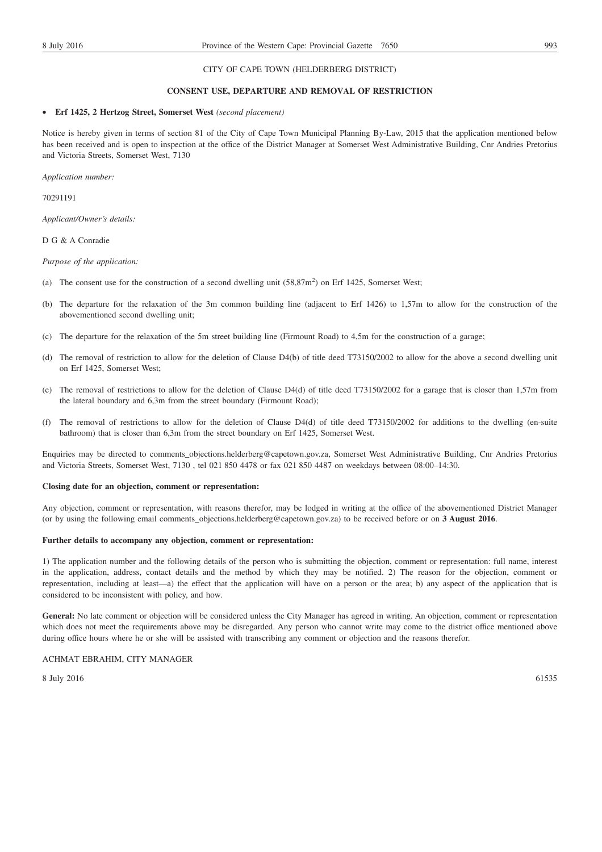#### **CONSENT USE, DEPARTURE AND REMOVAL OF RESTRICTION**

#### • **Erf 1425, 2 Hertzog Street, Somerset West** *(second placement)*

Notice is hereby given in terms of section 81 of the City of Cape Town Municipal Planning By-Law, 2015 that the application mentioned below has been received and is open to inspection at the office of the District Manager at Somerset West Administrative Building, Cnr Andries Pretorius and Victoria Streets, Somerset West, 7130

*Application number:*

70291191

*Applicant/Owner's details:*

#### D G & A Conradie

*Purpose of the application:*

- (a) The consent use for the construction of a second dwelling unit  $(58,87m^2)$  on Erf 1425, Somerset West;
- (b) The departure for the relaxation of the 3m common building line (adjacent to Erf 1426) to 1,57m to allow for the construction of the abovementioned second dwelling unit;
- (c) The departure for the relaxation of the 5m street building line (Firmount Road) to 4,5m for the construction of a garage;
- (d) The removal of restriction to allow for the deletion of Clause D4(b) of title deed T73150/2002 to allow for the above a second dwelling unit on Erf 1425, Somerset West;
- (e) The removal of restrictions to allow for the deletion of Clause D4(d) of title deed T73150/2002 for a garage that is closer than 1,57m from the lateral boundary and 6,3m from the street boundary (Firmount Road);
- (f) The removal of restrictions to allow for the deletion of Clause D4(d) of title deed T73150/2002 for additions to the dwelling (en-suite bathroom) that is closer than 6,3m from the street boundary on Erf 1425, Somerset West.

Enquiries may be directed to comments\_objections.helderberg@capetown.gov.za, Somerset West Administrative Building, Cnr Andries Pretorius and Victoria Streets, Somerset West, 7130 , tel 021 850 4478 or fax 021 850 4487 on weekdays between 08:00–14:30.

#### **Closing date for an objection, comment or representation:**

Any objection, comment or representation, with reasons therefor, may be lodged in writing at the office of the abovementioned District Manager (or by using the following email comments\_objections.helderberg@capetown.gov.za) to be received before or on **3 August 2016**.

#### **Further details to accompany any objection, comment or representation:**

1) The application number and the following details of the person who is submitting the objection, comment or representation: full name, interest in the application, address, contact details and the method by which they may be notified. 2) The reason for the objection, comment or representation, including at least—a) the effect that the application will have on a person or the area; b) any aspect of the application that is considered to be inconsistent with policy, and how.

General: No late comment or objection will be considered unless the City Manager has agreed in writing. An objection, comment or representation which does not meet the requirements above may be disregarded. Any person who cannot write may come to the district office mentioned above during office hours where he or she will be assisted with transcribing any comment or objection and the reasons therefor.

#### ACHMAT EBRAHIM, CITY MANAGER

 $8 \text{ July } 2016$  61535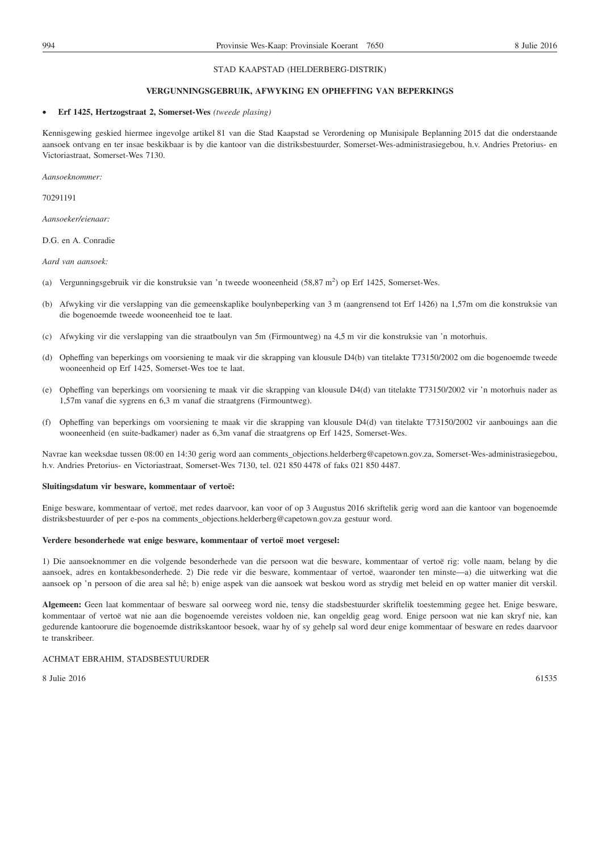## STAD KAAPSTAD (HELDERBERG-DISTRIK)

#### **VERGUNNINGSGEBRUIK, AFWYKING EN OPHEFFING VAN BEPERKINGS**

#### • **Erf 1425, Hertzogstraat 2, Somerset-Wes** *(tweede plasing)*

Kennisgewing geskied hiermee ingevolge artikel 81 van die Stad Kaapstad se Verordening op Munisipale Beplanning 2015 dat die onderstaande aansoek ontvang en ter insae beskikbaar is by die kantoor van die distriksbestuurder, Somerset-Wes-administrasiegebou, h.v. Andries Pretorius- en Victoriastraat, Somerset-Wes 7130.

*Aansoeknommer:*

70291191

*Aansoeker/eienaar:*

D.G. en A. Conradie

*Aard van aansoek:*

- (a) Vergunningsgebruik vir die konstruksie van 'n tweede wooneenheid (58,87 m<sup>2</sup>) op Erf 1425, Somerset-Wes.
- (b) Afwyking vir die verslapping van die gemeenskaplike boulynbeperking van 3 m (aangrensend tot Erf 1426) na 1,57m om die konstruksie van die bogenoemde tweede wooneenheid toe te laat.
- (c) Afwyking vir die verslapping van die straatboulyn van 5m (Firmountweg) na 4,5 m vir die konstruksie van 'n motorhuis.
- (d) Opheffing van beperkings om voorsiening te maak vir die skrapping van klousule D4(b) van titelakte T73150/2002 om die bogenoemde tweede wooneenheid op Erf 1425, Somerset-Wes toe te laat.
- (e) Opheffing van beperkings om voorsiening te maak vir die skrapping van klousule D4(d) van titelakte T73150/2002 vir 'n motorhuis nader as 1,57m vanaf die sygrens en 6,3 m vanaf die straatgrens (Firmountweg).
- (f) Opheffing van beperkings om voorsiening te maak vir die skrapping van klousule D4(d) van titelakte T73150/2002 vir aanbouings aan die wooneenheid (en suite-badkamer) nader as 6,3m vanaf die straatgrens op Erf 1425, Somerset-Wes.

Navrae kan weeksdae tussen 08:00 en 14:30 gerig word aan comments\_objections.helderberg@capetown.gov.za, Somerset-Wes-administrasiegebou, h.v. Andries Pretorius- en Victoriastraat, Somerset-Wes 7130, tel. 021 850 4478 of faks 021 850 4487.

#### **Sluitingsdatum vir besware, kommentaar of vertoë:**

Enige besware, kommentaar of vertoë, met redes daarvoor, kan voor of op 3 Augustus 2016 skriftelik gerig word aan die kantoor van bogenoemde distriksbestuurder of per e-pos na comments\_objections.helderberg@capetown.gov.za gestuur word.

#### **Verdere besonderhede wat enige besware, kommentaar of vertoë moet vergesel:**

1) Die aansoeknommer en die volgende besonderhede van die persoon wat die besware, kommentaar of vertoë rig: volle naam, belang by die aansoek, adres en kontakbesonderhede. 2) Die rede vir die besware, kommentaar of vertoë, waaronder ten minste—a) die uitwerking wat die aansoek op 'n persoon of die area sal hê; b) enige aspek van die aansoek wat beskou word as strydig met beleid en op watter manier dit verskil.

**Algemeen:** Geen laat kommentaar of besware sal oorweeg word nie, tensy die stadsbestuurder skriftelik toestemming gegee het. Enige besware, kommentaar of vertoë wat nie aan die bogenoemde vereistes voldoen nie, kan ongeldig geag word. Enige persoon wat nie kan skryf nie, kan gedurende kantoorure die bogenoemde distrikskantoor besoek, waar hy of sy gehelp sal word deur enige kommentaar of besware en redes daarvoor te transkribeer.

#### ACHMAT EBRAHIM, STADSBESTUURDER

 $8 \text{ Julie } 2016$  61535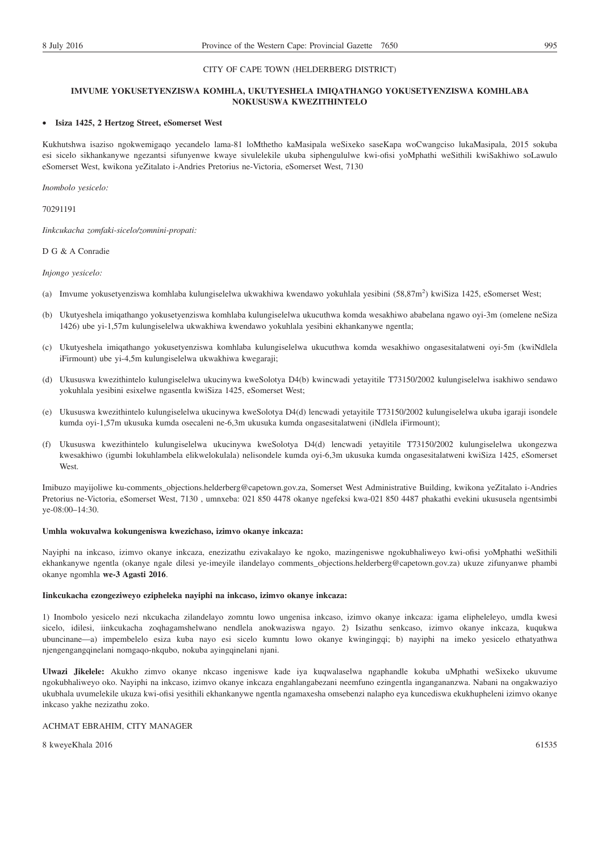#### CITY OF CAPE TOWN (HELDERBERG DISTRICT)

#### **IMVUME YOKUSETYENZISWA KOMHLA, UKUTYESHELA IMIQATHANGO YOKUSETYENZISWA KOMHLABA NOKUSUSWA KWEZITHINTELO**

#### • **Isiza 1425, 2 Hertzog Street, eSomerset West**

Kukhutshwa isaziso ngokwemigaqo yecandelo lama-81 loMthetho kaMasipala weSixeko saseKapa woCwangciso lukaMasipala, 2015 sokuba esi sicelo sikhankanywe ngezantsi sifunyenwe kwaye sivulelekile ukuba siphengululwe kwi-ofisi yoMphathi weSithili kwiSakhiwo soLawulo eSomerset West, kwikona yeZitalato i-Andries Pretorius ne-Victoria, eSomerset West, 7130

*Inombolo yesicelo:*

70291191

*Iinkcukacha zomfaki-sicelo/zomnini-propati:*

D G & A Conradie

*Injongo yesicelo:*

- (a) Imvume yokusetyenziswa komhlaba kulungiselelwa ukwakhiwa kwendawo yokuhlala yesibini (58,87m<sup>2</sup>) kwiSiza 1425, eSomerset West;
- (b) Ukutyeshela imiqathango yokusetyenziswa komhlaba kulungiselelwa ukucuthwa komda wesakhiwo ababelana ngawo oyi-3m (omelene neSiza 1426) ube yi-1,57m kulungiselelwa ukwakhiwa kwendawo yokuhlala yesibini ekhankanywe ngentla;
- (c) Ukutyeshela imiqathango yokusetyenziswa komhlaba kulungiselelwa ukucuthwa komda wesakhiwo ongasesitalatweni oyi-5m (kwiNdlela iFirmount) ube yi-4,5m kulungiselelwa ukwakhiwa kwegaraji;
- (d) Ukususwa kwezithintelo kulungiselelwa ukucinywa kweSolotya D4(b) kwincwadi yetayitile T73150/2002 kulungiselelwa isakhiwo sendawo yokuhlala yesibini esixelwe ngasentla kwiSiza 1425, eSomerset West;
- (e) Ukususwa kwezithintelo kulungiselelwa ukucinywa kweSolotya D4(d) lencwadi yetayitile T73150/2002 kulungiselelwa ukuba igaraji isondele kumda oyi-1,57m ukusuka kumda osecaleni ne-6,3m ukusuka kumda ongasesitalatweni (iNdlela iFirmount);
- (f) Ukususwa kwezithintelo kulungiselelwa ukucinywa kweSolotya D4(d) lencwadi yetayitile T73150/2002 kulungiselelwa ukongezwa kwesakhiwo (igumbi lokuhlambela elikwelokulala) nelisondele kumda oyi-6,3m ukusuka kumda ongasesitalatweni kwiSiza 1425, eSomerset West.

Imibuzo mayijoliwe ku-comments\_objections.helderberg@capetown.gov.za, Somerset West Administrative Building, kwikona yeZitalato i-Andries Pretorius ne-Victoria, eSomerset West, 7130 , umnxeba: 021 850 4478 okanye ngefeksi kwa-021 850 4487 phakathi evekini ukususela ngentsimbi ye-08:00–14:30.

#### **Umhla wokuvalwa kokungeniswa kwezichaso, izimvo okanye inkcaza:**

Nayiphi na inkcaso, izimvo okanye inkcaza, enezizathu ezivakalayo ke ngoko, mazingeniswe ngokubhaliweyo kwi-ofisi yoMphathi weSithili ekhankanywe ngentla (okanye ngale dilesi ye-imeyile ilandelayo comments\_objections.helderberg@capetown.gov.za) ukuze zifunyanwe phambi okanye ngomhla **we-3 Agasti 2016**.

#### **Iinkcukacha ezongeziweyo ezipheleka nayiphi na inkcaso, izimvo okanye inkcaza:**

1) Inombolo yesicelo nezi nkcukacha zilandelayo zomntu lowo ungenisa inkcaso, izimvo okanye inkcaza: igama elipheleleyo, umdla kwesi sicelo, idilesi, iinkcukacha zoqhagamshelwano nendlela anokwaziswa ngayo. 2) Isizathu senkcaso, izimvo okanye inkcaza, kuqukwa ubuncinane—a) impembelelo esiza kuba nayo esi sicelo kumntu lowo okanye kwingingqi; b) nayiphi na imeko yesicelo ethatyathwa njengengangqinelani nomgaqo-nkqubo, nokuba ayingqinelani njani.

**Ulwazi Jikelele:** Akukho zimvo okanye nkcaso ingeniswe kade iya kuqwalaselwa ngaphandle kokuba uMphathi weSixeko ukuvume ngokubhaliweyo oko. Nayiphi na inkcaso, izimvo okanye inkcaza engahlangabezani neemfuno ezingentla ingangananzwa. Nabani na ongakwaziyo ukubhala uvumelekile ukuza kwi-ofisi yesithili ekhankanywe ngentla ngamaxesha omsebenzi nalapho eya kuncediswa ekukhupheleni izimvo okanye inkcaso yakhe nezizathu zoko.

#### ACHMAT EBRAHIM, CITY MANAGER

8 kweyeKhala 2016 61535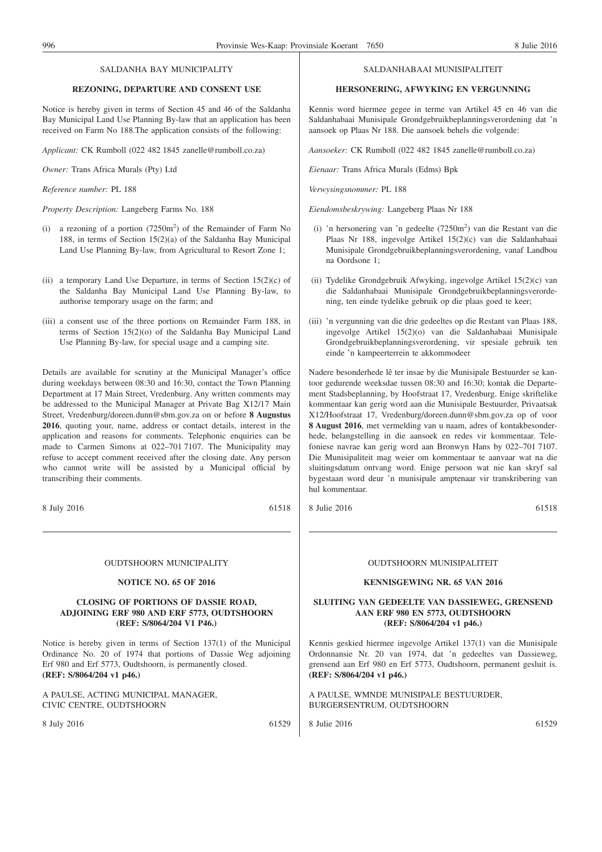#### SALDANHA BAY MUNICIPALITY

#### **REZONING, DEPARTURE AND CONSENT USE**

Notice is hereby given in terms of Section 45 and 46 of the Saldanha Bay Municipal Land Use Planning By-law that an application has been received on Farm No 188.The application consists of the following:

*Applicant:* CK Rumboll (022 482 1845 zanelle@rumboll.co.za)

*Owner:* Trans Africa Murals (Pty) Ltd

*Reference number:* PL 188

*Property Description:* Langeberg Farms No. 188

- (i) a rezoning of a portion  $(7250m^2)$  of the Remainder of Farm No 188, in terms of Section 15(2)(a) of the Saldanha Bay Municipal Land Use Planning By-law, from Agricultural to Resort Zone 1;
- (ii) a temporary Land Use Departure, in terms of Section  $15(2)(c)$  of the Saldanha Bay Municipal Land Use Planning By-law, to authorise temporary usage on the farm; and
- (iii) a consent use of the three portions on Remainder Farm 188, in terms of Section 15(2)(o) of the Saldanha Bay Municipal Land Use Planning By-law, for special usage and a camping site.

Details are available for scrutiny at the Municipal Manager's office during weekdays between 08:30 and 16:30, contact the Town Planning Department at 17 Main Street, Vredenburg. Any written comments may be addressed to the Municipal Manager at Private Bag X12/17 Main Street, Vredenburg/doreen.dunn@sbm.gov.za on or before **8 Augustus 2016**, quoting your, name, address or contact details, interest in the application and reasons for comments. Telephonic enquiries can be made to Carmen Simons at 022–701 7107. The Municipality may refuse to accept comment received after the closing date. Any person who cannot write will be assisted by a Municipal official by transcribing their comments.

8 July 2016 61518

#### OUDTSHOORN MUNICIPALITY

#### **NOTICE NO. 65 OF 2016**

#### **CLOSING OF PORTIONS OF DASSIE ROAD, ADJOINING ERF 980 AND ERF 5773, OUDTSHOORN (REF: S/8064/204 V1 P46.)**

Notice is hereby given in terms of Section 137(1) of the Municipal Ordinance No. 20 of 1974 that portions of Dassie Weg adjoining Erf 980 and Erf 5773, Oudtshoorn, is permanently closed. **(REF: S/8064/204 v1 p46.)**

A PAULSE, ACTING MUNICIPAL MANAGER, CIVIC CENTRE, OUDTSHOORN

8 July 2016 61529

#### SALDANHABAAI MUNISIPALITEIT

#### **HERSONERING, AFWYKING EN VERGUNNING**

Kennis word hiermee gegee in terme van Artikel 45 en 46 van die Saldanhabaai Munisipale Grondgebruikbeplanningsverordening dat 'n aansoek op Plaas Nr 188. Die aansoek behels die volgende:

*Aansoeker:* CK Rumboll (022 482 1845 zanelle@rumboll.co.za)

*Eienaar:* Trans Africa Murals (Edms) Bpk

*Verwysingsnommer:* PL 188

*Eiendomsbeskrywing:* Langeberg Plaas Nr 188

- (i) 'n hersonering van 'n gedeelte (7250m2 ) van die Restant van die Plaas Nr 188, ingevolge Artikel 15(2)(c) van die Saldanhabaai Munisipale Grondgebruikbeplanningsverordening, vanaf Landbou na Oordsone 1;
- (ii) Tydelike Grondgebruik Afwyking, ingevolge Artikel 15(2)(c) van die Saldanhabaai Munisipale Grondgebruikbeplanningsverordening, ten einde tydelike gebruik op die plaas goed te keer;
- (iii) 'n vergunning van die drie gedeeltes op die Restant van Plaas 188, ingevolge Artikel 15(2)(o) van die Saldanhabaai Munisipale Grondgebruikbeplanningsverordening, vir spesiale gebruik ten einde 'n kampeerterrein te akkommodeer

Nadere besonderhede lê ter insae by die Munisipale Bestuurder se kantoor gedurende weeksdae tussen 08:30 and 16:30; kontak die Departement Stadsbeplanning, by Hoofstraat 17, Vredenburg. Enige skriftelike kommentaar kan gerig word aan die Munisipale Bestuurder, Privaatsak X12/Hoofstraat 17, Vredenburg/doreen.dunn@sbm.gov.za op of voor **8 August 2016**, met vermelding van u naam, adres of kontakbesonderhede, belangstelling in die aansoek en redes vir kommentaar. Telefoniese navrae kan gerig word aan Bronwyn Hans by 022–701 7107. Die Munisipaliteit mag weier om kommentaar te aanvaar wat na die sluitingsdatum ontvang word. Enige persoon wat nie kan skryf sal bygestaan word deur 'n munisipale amptenaar vir transkribering van hul kommentaar.

8 Julie 2016 61518

#### OUDTSHOORN MUNISIPALITEIT

#### **KENNISGEWING NR. 65 VAN 2016**

#### **SLUITING VAN GEDEELTE VAN DASSIEWEG, GRENSEND AAN ERF 980 EN 5773, OUDTSHOORN (REF: S/8064/204 v1 p46.)**

Kennis geskied hiermee ingevolge Artikel 137(1) van die Munisipale Ordonnansie Nr. 20 van 1974, dat 'n gedeeltes van Dassieweg, grensend aan Erf 980 en Erf 5773, Oudtshoorn, permanent gesluit is. **(REF: S/8064/204 v1 p46.)**

A PAULSE, WMNDE MUNISIPALE BESTUURDER, BURGERSENTRUM, OUDTSHOORN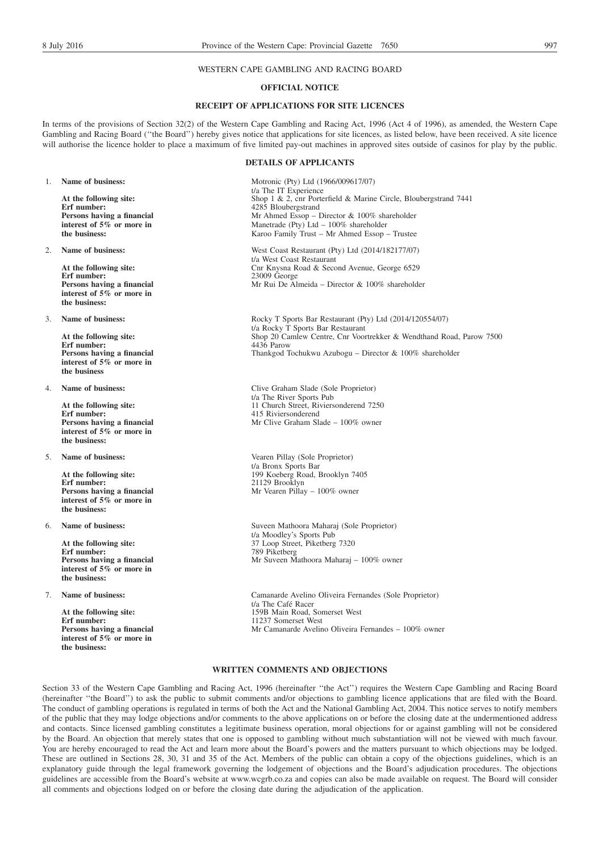#### WESTERN CAPE GAMBLING AND RACING BOARD

#### **OFFICIAL NOTICE**

## **RECEIPT OF APPLICATIONS FOR SITE LICENCES**

In terms of the provisions of Section 32(2) of the Western Cape Gambling and Racing Act, 1996 (Act 4 of 1996), as amended, the Western Cape Gambling and Racing Board (''the Board'') hereby gives notice that applications for site licences, as listed below, have been received. A site licence will authorise the licence holder to place a maximum of five limited pay-out machines in approved sites outside of casinos for play by the public.

#### **DETAILS OF APPLICANTS**

1. **Name of business:** Motronic (Pty) Ltd (1966/009617/07) t/a The IT Experience **At the following site:** Shop 1 & 2, cnr Porterfield & Marine Circle, Bloubergstrand 7441<br>Erf number: 4285 Bloubergstrand 4285 Bloubergstrand Mr Ahmed Essop – Director & 100% shareholder Manetrade (Pty) Ltd – 100% shareholder Karoo Family Trust – Mr Ahmed Essop – Trustee

2. **Name of business:** West Coast Restaurant (Pty) Ltd (2014/182177/07) t/a West Coast Restaurant At the following site:<br> **At the following site:**<br>
Cnr Knysna Road & Second Avenue, George 6529<br> **Erf number:**<br>
23009 George **Erf number:** 23009 George Mr Rui De Almeida – Director & 100% shareholder

3. **Name of business:** Rocky T Sports Bar Restaurant (Pty) Ltd (2014/120554/07) t/a Rocky T Sports Bar Restaurant **At the following site:** Shop 20 Camlew Centre, Cnr Voortrekker & Wendthand Road, Parow 7500<br>Frf number:  $\frac{4436 \text{ Parrow}}{4436 \text{ Parrow}}$ Thankgod Tochukwu Azubogu – Director & 100% shareholder

4. **Name of business:** Clive Graham Slade (Sole Proprietor) t/a The River Sports Pub **At the following site:** 11 Church Street, Riviersonderend 7250 **Erf number:** 415 Riviersonderend 7250 **415 Riviersonderend** Mr Clive Graham Slade – 100% owner

5. **Name of business:** Vearen Pillay (Sole Proprietor) t/a Bronx Sports Bar **At the following site:** 199 Koeberg Road, Brooklyn 7405<br> **Erf number:** 21129 Brooklyn **Erf number:** 21129 Brooklyn Mr Vearen Pillay – 100% owner

6. **Name of business:** Suveen Mathoora Maharaj (Sole Proprietor) t/a Moodley's Sports Pub At the following site: 37 Loop Street, Piketberg 7320 Mr Suveen Mathoora Maharaj – 100% owner

7. **Name of business:** Camanarde Avelino Oliveira Fernandes (Sole Proprietor) t/a The Café Racer At the following site: 159B Main Road, Somerset West Mr Camanarde Avelino Oliveira Fernandes – 100% owner

#### **WRITTEN COMMENTS AND OBJECTIONS**

Section 33 of the Western Cape Gambling and Racing Act, 1996 (hereinafter ''the Act'') requires the Western Cape Gambling and Racing Board (hereinafter ''the Board'') to ask the public to submit comments and/or objections to gambling licence applications that are filed with the Board. The conduct of gambling operations is regulated in terms of both the Act and the National Gambling Act, 2004. This notice serves to notify members of the public that they may lodge objections and/or comments to the above applications on or before the closing date at the undermentioned address and contacts. Since licensed gambling constitutes a legitimate business operation, moral objections for or against gambling will not be considered by the Board. An objection that merely states that one is opposed to gambling without much substantiation will not be viewed with much favour. You are hereby encouraged to read the Act and learn more about the Board's powers and the matters pursuant to which objections may be lodged. These are outlined in Sections 28, 30, 31 and 35 of the Act. Members of the public can obtain a copy of the objections guidelines, which is an explanatory guide through the legal framework governing the lodgement of objections and the Board's adjudication procedures. The objections guidelines are accessible from the Board's website at www.wcgrb.co.za and copies can also be made available on request. The Board will consider all comments and objections lodged on or before the closing date during the adjudication of the application.

**Persons having a financial interest of 5% or more in the business:**

**Persons having a financial interest of 5% or more in the business:**

**Erf** number: **Persons having a financial interest of 5% or more in the business**

**Persons having a financial interest of 5% or more in the business:**

**Persons having a financial interest of 5% or more in the business:**

**Erf number:** 789 Piketberg **Persons having a financial interest of 5% or more in the business:**

**Erf number:** 11237 Somerset West **Persons having a financial interest of 5% or more in the business:**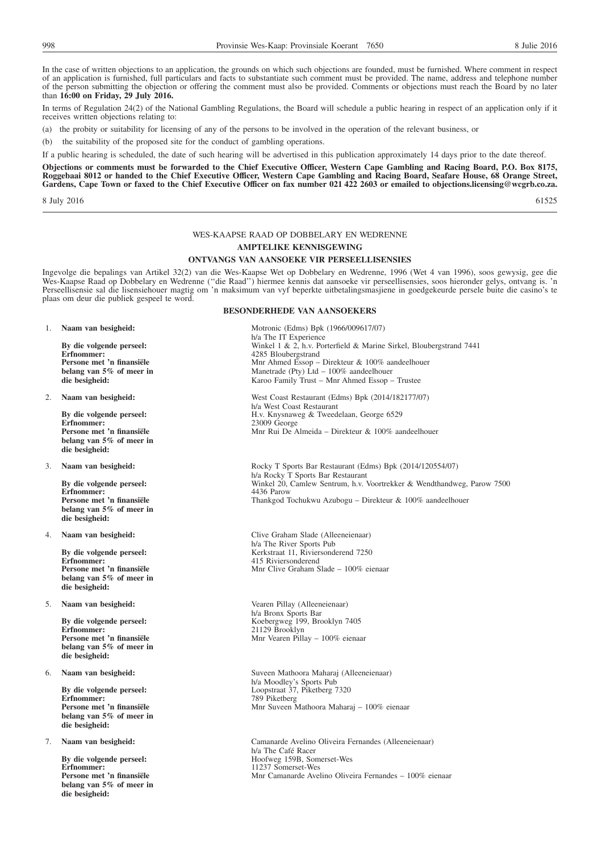In the case of written objections to an application, the grounds on which such objections are founded, must be furnished. Where comment in respect of an application is furnished, full particulars and facts to substantiate such comment must be provided. The name, address and telephone number of the person submitting the objection or offering the comment must also be provided. Comments or objections must reach the Board by no later than **16:00 on Friday, 29 July 2016.**

In terms of Regulation 24(2) of the National Gambling Regulations, the Board will schedule a public hearing in respect of an application only if it receives written objections relating to:

(a) the probity or suitability for licensing of any of the persons to be involved in the operation of the relevant business, or

(b) the suitability of the proposed site for the conduct of gambling operations.

If a public hearing is scheduled, the date of such hearing will be advertised in this publication approximately 14 days prior to the date thereof.

**Objections or comments must be forwarded to the Chief Executive Officer, Western Cape Gambling and Racing Board, P.O. Box 8175, Roggebaai 8012 or handed to the Chief Executive Officer, Western Cape Gambling and Racing Board, Seafare House, 68 Orange Street, Gardens, Cape Town or faxed to the Chief Executive Officer on fax number 021 422 2603 or emailed to objections.licensing@wcgrb.co.za.**

 $8 \text{ July } 2016$  61525

#### WES-KAAPSE RAAD OP DOBBELARY EN WEDRENNE

#### **AMPTELIKE KENNISGEWING**

#### **ONTVANGS VAN AANSOEKE VIR PERSEELLISENSIES**

Ingevolge die bepalings van Artikel 32(2) van die Wes-Kaapse Wet op Dobbelary en Wedrenne, 1996 (Wet 4 van 1996), soos gewysig, gee die Wes-Kaapse Raad op Dobbelary en Wedrenne (''die Raad'') hiermee kennis dat aansoeke vir perseellisensies, soos hieronder gelys, ontvang is. 'n Perseellisensie sal die lisensiehouer magtig om 'n maksimum van vyf beperkte uitbetalingsmasjiene in goedgekeurde persele buite die casino's te plaas om deur die publiek gespeel te word.

**Persone met 'n finansiële belang van 5% of meer in die besigheid:**

**Persone met 'n finansiële belang van 5% of meer in die besigheid:**

**Erfnommer: Persone met 'n finansiële belang van 5% of meer in die besigheid:**

**Erfnommer:** 415 Riviersonderend **Persone met 'n finansiële belang van 5% of meer in die besigheid:**

5. **Naam van besigheid:** Vearen Pillay (Alleeneienaar)

**Persone met 'n finansiële belang van 5% of meer in die besigheid:**

**Persone met 'n finansiële belang van 5% of meer in die besigheid:**

**By die volgende perseel:**<br>Erfnommer: **Persone met 'n finansiële belang van 5% of meer in die besigheid:**

**BESONDERHEDE VAN AANSOEKERS**

1. **Naam van besigheid:** Motronic (Edms) Bpk (1966/009617/07) h/a The IT Experience **By die volgende perseel:** Winkel 1 & 2, h.v. Porterfield & Marine Sirkel, Bloubergstrand 7441<br> **Erfnommer:** 4285 Bloubergstrand 7441 **Erfnommer:** 4285 Bloubergstrand Mnr Ahmed Essop – Direkteur & 100% aandeelhouer Manetrade (Pty)  $\hat{L}$ td – 100% aandeelhouer Karoo Family Trust – Mnr Ahmed Essop – Trustee

2. **Naam van besigheid:** West Coast Restaurant (Edms) Bpk (2014/182177/07) h/a West Coast Restaurant **By die volgende perseel:** H.v. Knysnaweg & Tweedelaan, George 6529<br> **Erfnommer:** 23009 George **Erfnommer:** 23009 George Mnr Rui De Almeida – Direkteur & 100% aandeelhouer

3. **Naam van besigheid:** Rocky T Sports Bar Restaurant (Edms) Bpk (2014/120554/07) h/a Rocky T Sports Bar Restaurant **By die volgende perseel:** Winkel 20, Camlew Sentrum, h.v. Voortrekker & Wendthandweg, Parow 7500<br>Erfnommer: 4436 Parow 7436 Parow 7500 Thankgod Tochukwu Azubogu – Direkteur & 100% aandeelhouer

4. **Naam van besigheid:** Clive Graham Slade (Alleeneienaar) h/a The River Sports Pub By die volgende perseel: Kerkstraat 11, Riviersonderend 7250 Mnr Clive Graham Slade – 100% eienaar

h/a Bronx Sports Bar **By die volgende perseel:** Koebergweg 199, Brooklyn 7405<br> **Erfnommer:** 21129 Brooklyn **Erfnommer:** 21129 Brooklyn Mnr Vearen Pillay – 100% eienaar

6. **Naam van besigheid:** Suveen Mathoora Maharaj (Alleeneienaar) h/a Moodley's Sports Pub **By die volgende perseel:** Loopstraat 37, Piketberg 7320<br>**Erfnommer:** 789 Piketberg **Erfnommer:** 789 Piketberg Mnr Suveen Mathoora Maharaj – 100% eienaar

7. **Naam van besigheid:** Camanarde Avelino Oliveira Fernandes (Alleeneienaar) h/a The Café Racer<br>Hoofweg 159B, Somerset-Wes **Erfnommer:** 11237 Somerset-Wes Mnr Camanarde Avelino Oliveira Fernandes – 100% eienaar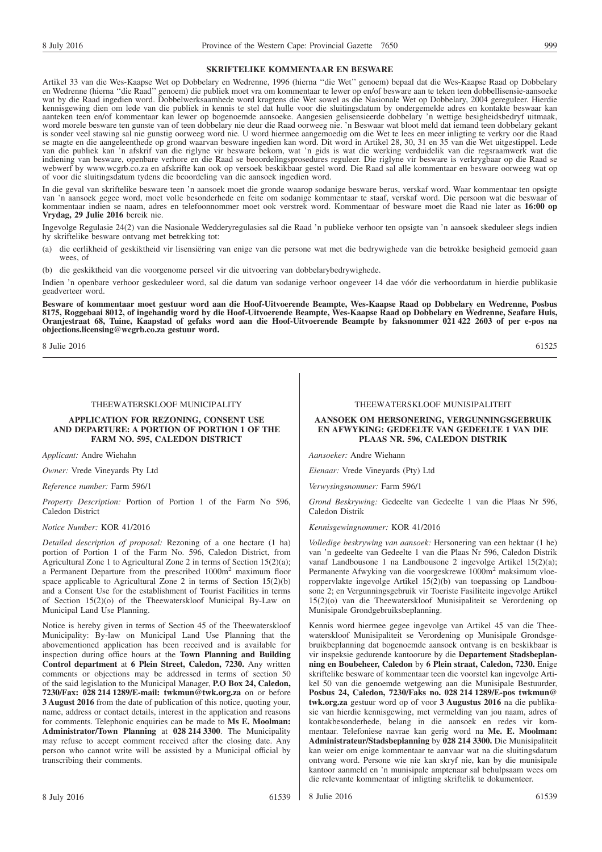#### **SKRIFTELIKE KOMMENTAAR EN BESWARE**

Artikel 33 van die Wes-Kaapse Wet op Dobbelary en Wedrenne, 1996 (hierna ''die Wet'' genoem) bepaal dat die Wes-Kaapse Raad op Dobbelary en Wedrenne (hierna ''die Raad'' genoem) die publiek moet vra om kommentaar te lewer op en/of besware aan te teken teen dobbellisensie-aansoeke wat by die Raad ingedien word. Dobbelwerksaamhede word kragtens die Wet sowel as die Nasionale Wet op Dobbelary, 2004 gereguleer. Hierdie kennisgewing dien om lede van die publiek in kennis te stel dat hulle voor die sluitingsdatum by ondergemelde adres en kontakte beswaar kan aanteken teen en/of kommentaar kan lewer op bogenoemde aansoeke. Aangesien gelisensieerde dobbelary 'n wettige besigheidsbedryf uitmaak, word morele besware ten gunste van of teen dobbelary nie deur die Raad oorweeg nie. 'n Beswaar wat bloot meld dat iemand teen dobbelary gekant is sonder veel stawing sal nie gunstig oorweeg word nie. U word hiermee aangemoedig om die Wet te lees en meer inligting te verkry oor die Raad se magte en die aangeleenthede op grond waarvan besware ingedien kan word. Dit word in Artikel 28, 30, 31 en 35 van die Wet uitgestippel. Lede van die publiek kan 'n afskrif van die riglyne vir besware bekom, wat 'n gids is wat die werking verduidelik van die regsraamwerk wat die indiening van besware, openbare verhore en die Raad se beoordelingsprosedures reguleer. Die riglyne vir besware is verkrygbaar op die Raad se webwerf by www.wcgrb.co.za en afskrifte kan ook op versoek beskikbaar gestel word. Die Raad sal alle kommentaar en besware oorweeg wat op of voor die sluitingsdatum tydens die beoordeling van die aansoek ingedien word.

In die geval van skriftelike besware teen 'n aansoek moet die gronde waarop sodanige besware berus, verskaf word. Waar kommentaar ten opsigte van 'n aansoek gegee word, moet volle besonderhede en feite om sodanige kommentaar te staaf, verskaf word. Die persoon wat die beswaar of kommentaar indien se naam, adres en telefoonnommer moet ook verstrek word. Kommentaar of besware moet die Raad nie later as **16:00 op Vrydag, 29 Julie 2016** bereik nie.

Ingevolge Regulasie 24(2) van die Nasionale Wedderyregulasies sal die Raad 'n publieke verhoor ten opsigte van 'n aansoek skeduleer slegs indien hy skriftelike besware ontvang met betrekking tot:

- (a) die eerlikheid of geskiktheid vir lisensiëring van enige van die persone wat met die bedrywighede van die betrokke besigheid gemoeid gaan wees, of
- (b) die geskiktheid van die voorgenome perseel vir die uitvoering van dobbelarybedrywighede.

Indien 'n openbare verhoor geskeduleer word, sal die datum van sodanige verhoor ongeveer 14 dae vóór die verhoordatum in hierdie publikasie geadverteer word.

**Besware of kommentaar moet gestuur word aan die Hoof-Uitvoerende Beampte, Wes-Kaapse Raad op Dobbelary en Wedrenne, Posbus 8175, Roggebaai 8012, of ingehandig word by die Hoof-Uitvoerende Beampte, Wes-Kaapse Raad op Dobbelary en Wedrenne, Seafare Huis, Oranjestraat 68, Tuine, Kaapstad of gefaks word aan die Hoof-Uitvoerende Beampte by faksnommer 021 422 2603 of per e-pos na objections.licensing@wcgrb.co.za gestuur word.**

 $8 \text{ Julie } 2016$  61525

THEEWATERSKLOOF MUNICIPALITY

#### **APPLICATION FOR REZONING, CONSENT USE AND DEPARTURE: A PORTION OF PORTION 1 OF THE FARM NO. 595, CALEDON DISTRICT**

*Applicant:* Andre Wiehahn

*Owner:* Vrede Vineyards Pty Ltd

*Reference number:* Farm 596/1

*Property Description:* Portion of Portion 1 of the Farm No 596, Caledon District

*Notice Number:* KOR 41/2016

*Detailed description of proposal:* Rezoning of a one hectare (1 ha) portion of Portion 1 of the Farm No. 596, Caledon District, from Agricultural Zone 1 to Agricultural Zone 2 in terms of Section 15(2)(a); a Permanent Departure from the prescribed 1000m2 maximum floor space applicable to Agricultural Zone 2 in terms of Section 15(2)(b) and a Consent Use for the establishment of Tourist Facilities in terms of Section 15(2)(o) of the Theewaterskloof Municipal By-Law on Municipal Land Use Planning.

Notice is hereby given in terms of Section 45 of the Theewaterskloof Municipality: By-law on Municipal Land Use Planning that the abovementioned application has been received and is available for inspection during office hours at the **Town Planning and Building Control department** at **6 Plein Street, Caledon, 7230.** Any written comments or objections may be addressed in terms of section 50 of the said legislation to the Municipal Manager, **P.O Box 24, Caledon, 7230/Fax: 028 214 1289/E-mail: twkmun@twk.org.za** on or before **3 August 2016** from the date of publication of this notice, quoting your, name, address or contact details, interest in the application and reasons for comments. Telephonic enquiries can be made to **Ms E. Moolman: Administrator/Town Planning** at **028 214 3300**. The Municipality may refuse to accept comment received after the closing date. Any person who cannot write will be assisted by a Municipal official by transcribing their comments.

#### THEEWATERSKLOOF MUNISIPALITEIT

#### **AANSOEK OM HERSONERING, VERGUNNINGSGEBRUIK EN AFWYKING: GEDEELTE VAN GEDEELTE 1 VAN DIE PLAAS NR. 596, CALEDON DISTRIK**

*Aansoeker:* Andre Wiehann

*Eienaar:* Vrede Vineyards (Pty) Ltd

*Verwysingsnommer:* Farm 596/1

*Grond Beskrywing:* Gedeelte van Gedeelte 1 van die Plaas Nr 596, Caledon Distrik

*Kennisgewingnommer:* KOR 41/2016

*Volledige beskrywing van aansoek:* Hersonering van een hektaar (1 he) van 'n gedeelte van Gedeelte 1 van die Plaas Nr 596, Caledon Distrik vanaf Landbousone 1 na Landbousone 2 ingevolge Artikel 15(2)(a); Permanente Afwyking van die voorgeskrewe 1000m<sup>2</sup> maksimum vloeroppervlakte ingevolge Artikel 15(2)(b) van toepassing op Landbousone 2; en Vergunningsgebruik vir Toeriste Fasiliteite ingevolge Artikel 15(2)(o) van die Theewaterskloof Munisipaliteit se Verordening op Munisipale Grondgebruiksbeplanning.

Kennis word hiermee gegee ingevolge van Artikel 45 van die Theewaterskloof Munisipaliteit se Verordening op Munisipale Grondsgebruikbeplanning dat bogenoemde aansoek ontvang is en beskikbaar is vir inspeksie gedurende kantoorure by die **Departement Stadsbeplanning en Boubeheer, Caledon** by **6 Plein straat, Caledon, 7230.** Enige skriftelike besware of kommentaar teen die voorstel kan ingevolge Artikel 50 van die genoemde wetgewing aan die Munisipale Bestuurder, **Posbus 24, Caledon, 7230/Faks no. 028 214 1289/E-pos twkmun@ twk.org.za** gestuur word op of voor **3 Augustus 2016** na die publikasie van hierdie kennisgewing, met vermelding van jou naam, adres of kontakbesonderhede, belang in die aansoek en redes vir kommentaar. Telefoniese navrae kan gerig word na **Me. E. Moolman: Administrateur/Stadsbeplanning** by **028 214 3300.** Die Munisipaliteit kan weier om enige kommentaar te aanvaar wat na die sluitingsdatum ontvang word. Persone wie nie kan skryf nie, kan by die munisipale kantoor aanmeld en 'n munisipale amptenaar sal behulpsaam wees om die relevante kommentaar of inligting skriftelik te dokumenteer.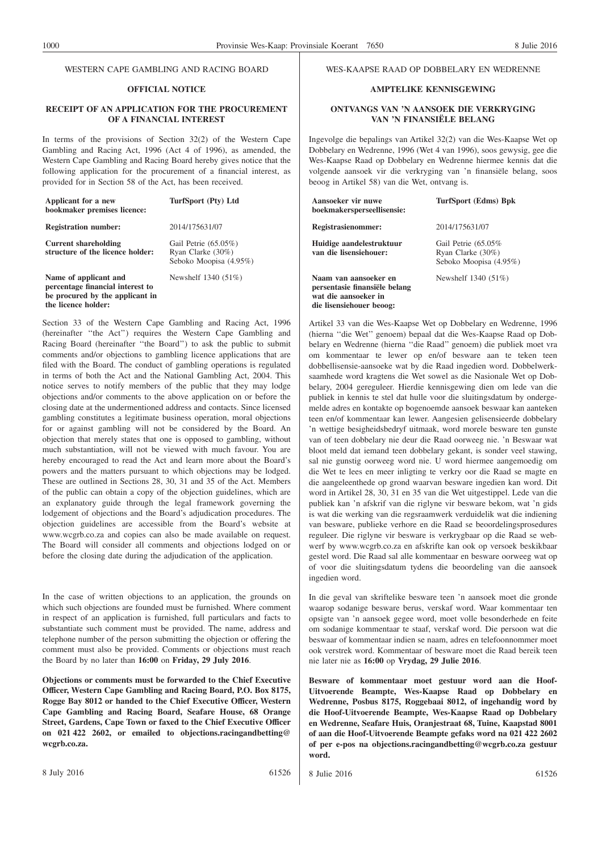#### WESTERN CAPE GAMBLING AND RACING BOARD

#### **OFFICIAL NOTICE**

#### **RECEIPT OF AN APPLICATION FOR THE PROCUREMENT OF A FINANCIAL INTEREST**

In terms of the provisions of Section 32(2) of the Western Cape Gambling and Racing Act, 1996 (Act 4 of 1996), as amended, the Western Cape Gambling and Racing Board hereby gives notice that the following application for the procurement of a financial interest, as provided for in Section 58 of the Act, has been received.

| Applicant for a new<br>bookmaker premises licence:                                                                  | TurfSport (Pty) Ltd                                                    |
|---------------------------------------------------------------------------------------------------------------------|------------------------------------------------------------------------|
| <b>Registration number:</b>                                                                                         | 2014/175631/07                                                         |
| <b>Current shareholding</b><br>structure of the licence holder:                                                     | Gail Petrie $(65.05\%)$<br>Ryan Clarke (30%)<br>Seboko Moopisa (4.95%) |
| Name of applicant and<br>percentage financial interest to<br>be procured by the applicant in<br>the licence holder: | Newshelf 1340 (51%)                                                    |

Section 33 of the Western Cape Gambling and Racing Act, 1996 (hereinafter ''the Act'') requires the Western Cape Gambling and Racing Board (hereinafter ''the Board'') to ask the public to submit comments and/or objections to gambling licence applications that are filed with the Board. The conduct of gambling operations is regulated in terms of both the Act and the National Gambling Act, 2004. This notice serves to notify members of the public that they may lodge objections and/or comments to the above application on or before the closing date at the undermentioned address and contacts. Since licensed gambling constitutes a legitimate business operation, moral objections for or against gambling will not be considered by the Board. An objection that merely states that one is opposed to gambling, without much substantiation, will not be viewed with much favour. You are hereby encouraged to read the Act and learn more about the Board's powers and the matters pursuant to which objections may be lodged. These are outlined in Sections 28, 30, 31 and 35 of the Act. Members of the public can obtain a copy of the objection guidelines, which are an explanatory guide through the legal framework governing the lodgement of objections and the Board's adjudication procedures. The objection guidelines are accessible from the Board's website at www.wcgrb.co.za and copies can also be made available on request. The Board will consider all comments and objections lodged on or before the closing date during the adjudication of the application.

In the case of written objections to an application, the grounds on which such objections are founded must be furnished. Where comment in respect of an application is furnished, full particulars and facts to substantiate such comment must be provided. The name, address and telephone number of the person submitting the objection or offering the comment must also be provided. Comments or objections must reach the Board by no later than **16:00** on **Friday, 29 July 2016**.

**Objections or comments must be forwarded to the Chief Executive Officer, Western Cape Gambling and Racing Board, P.O. Box 8175, Rogge Bay 8012 or handed to the Chief Executive Officer, Western Cape Gambling and Racing Board, Seafare House, 68 Orange Street, Gardens, Cape Town or faxed to the Chief Executive Officer on 021 422 2602, or emailed to objections.racingandbetting@ wcgrb.co.za.**

#### WES-KAAPSE RAAD OP DOBBELARY EN WEDRENNE

#### **AMPTELIKE KENNISGEWING**

#### **ONTVANGS VAN 'N AANSOEK DIE VERKRYGING VAN 'N FINANSIËLE BELANG**

Ingevolge die bepalings van Artikel 32(2) van die Wes-Kaapse Wet op Dobbelary en Wedrenne, 1996 (Wet 4 van 1996), soos gewysig, gee die Wes-Kaapse Raad op Dobbelary en Wedrenne hiermee kennis dat die volgende aansoek vir die verkryging van 'n finansiële belang, soos beoog in Artikel 58) van die Wet, ontvang is.

| Aansoeker vir nuwe<br>boekmakersperseellisensie:                                                           | TurfSport (Edms) Bpk                                               |
|------------------------------------------------------------------------------------------------------------|--------------------------------------------------------------------|
| Registrasienommer:                                                                                         | 2014/175631/07                                                     |
| Huidige aandelestruktuur<br>van die lisensiehouer:                                                         | Gail Petrie (65.05%<br>Ryan Clarke (30%)<br>Seboko Moopisa (4.95%) |
| Naam van aansoeker en<br>persentasie finansiële belang<br>wat die aansoeker in<br>die lisensiehouer beoog: | Newshelf $1340(51\%)$                                              |

Artikel 33 van die Wes-Kaapse Wet op Dobbelary en Wedrenne, 1996 (hierna ''die Wet'' genoem) bepaal dat die Wes-Kaapse Raad op Dobbelary en Wedrenne (hierna ''die Raad'' genoem) die publiek moet vra om kommentaar te lewer op en/of besware aan te teken teen dobbellisensie-aansoeke wat by die Raad ingedien word. Dobbelwerksaamhede word kragtens die Wet sowel as die Nasionale Wet op Dobbelary, 2004 gereguleer. Hierdie kennisgewing dien om lede van die publiek in kennis te stel dat hulle voor die sluitingsdatum by ondergemelde adres en kontakte op bogenoemde aansoek beswaar kan aanteken teen en/of kommentaar kan lewer. Aangesien gelisensieerde dobbelary 'n wettige besigheidsbedryf uitmaak, word morele besware ten gunste van of teen dobbelary nie deur die Raad oorweeg nie. 'n Beswaar wat bloot meld dat iemand teen dobbelary gekant, is sonder veel stawing, sal nie gunstig oorweeg word nie. U word hiermee aangemoedig om die Wet te lees en meer inligting te verkry oor die Raad se magte en die aangeleenthede op grond waarvan besware ingedien kan word. Dit word in Artikel 28, 30, 31 en 35 van die Wet uitgestippel. Lede van die publiek kan 'n afskrif van die riglyne vir besware bekom, wat 'n gids is wat die werking van die regsraamwerk verduidelik wat die indiening van besware, publieke verhore en die Raad se beoordelingsprosedures reguleer. Die riglyne vir besware is verkrygbaar op die Raad se webwerf by www.wcgrb.co.za en afskrifte kan ook op versoek beskikbaar gestel word. Die Raad sal alle kommentaar en besware oorweeg wat op of voor die sluitingsdatum tydens die beoordeling van die aansoek ingedien word.

In die geval van skriftelike besware teen 'n aansoek moet die gronde waarop sodanige besware berus, verskaf word. Waar kommentaar ten opsigte van 'n aansoek gegee word, moet volle besonderhede en feite om sodanige kommentaar te staaf, verskaf word. Die persoon wat die beswaar of kommentaar indien se naam, adres en telefoonnommer moet ook verstrek word. Kommentaar of besware moet die Raad bereik teen nie later nie as **16:00** op **Vrydag, 29 Julie 2016**.

**Besware of kommentaar moet gestuur word aan die Hoof-Uitvoerende Beampte, Wes-Kaapse Raad op Dobbelary en Wedrenne, Posbus 8175, Roggebaai 8012, of ingehandig word by die Hoof-Uitvoerende Beampte, Wes-Kaapse Raad op Dobbelary en Wedrenne, Seafare Huis, Oranjestraat 68, Tuine, Kaapstad 8001 of aan die Hoof-Uitvoerende Beampte gefaks word na 021 422 2602 of per e-pos na objections.racingandbetting@wcgrb.co.za gestuur word.**

8 July 2016 61526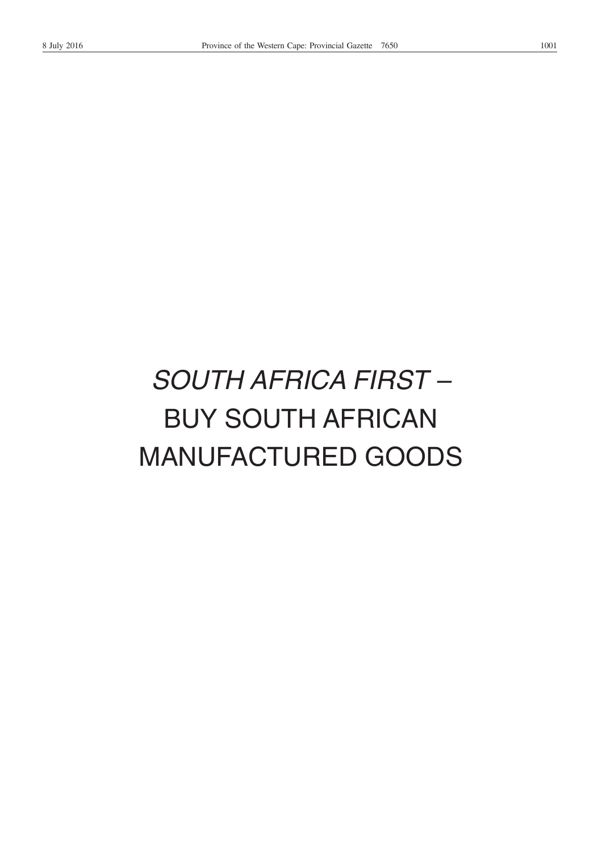# *SOUTH AFRICA FIRST –* BUY SOUTH AFRICAN MANUFACTURED GOODS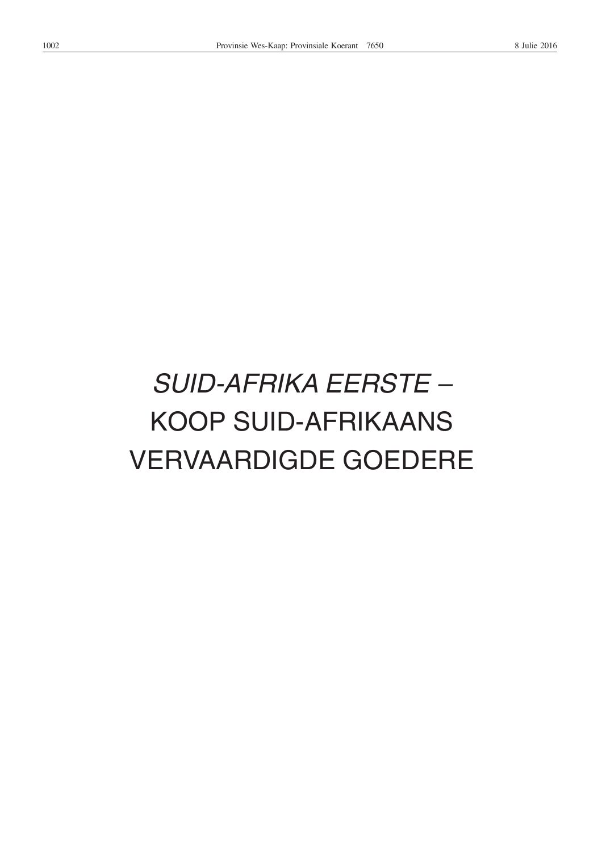# *SUID-AFRIKA EERSTE –* KOOP SUID-AFRIKAANS VERVAARDIGDE GOEDERE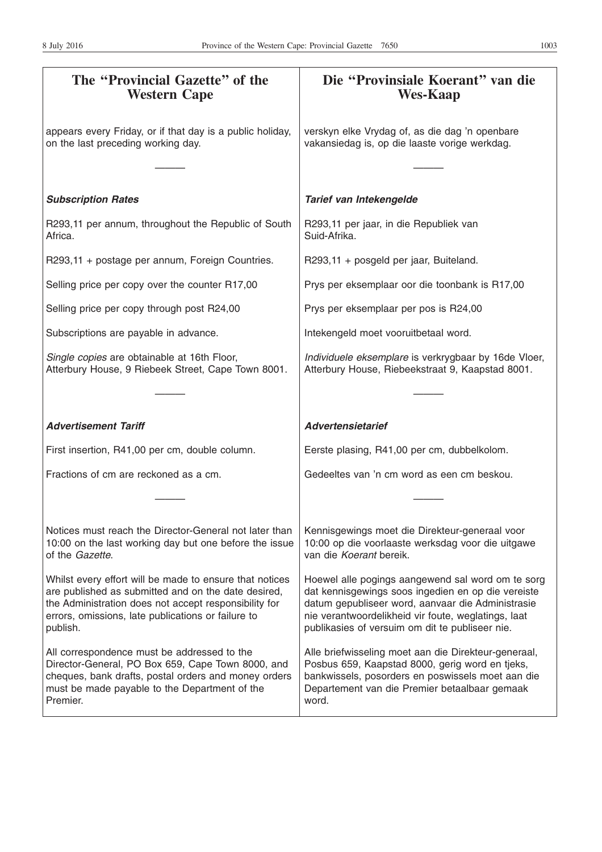| The "Provincial Gazette" of the<br><b>Western Cape</b>                                                                                                                                                                                    | Die "Provinsiale Koerant" van die<br><b>Wes-Kaap</b>                                                                                                                                                                                                                   |
|-------------------------------------------------------------------------------------------------------------------------------------------------------------------------------------------------------------------------------------------|------------------------------------------------------------------------------------------------------------------------------------------------------------------------------------------------------------------------------------------------------------------------|
| appears every Friday, or if that day is a public holiday,<br>on the last preceding working day.                                                                                                                                           | verskyn elke Vrydag of, as die dag 'n openbare<br>vakansiedag is, op die laaste vorige werkdag.                                                                                                                                                                        |
| <b>Subscription Rates</b>                                                                                                                                                                                                                 | Tarief van Intekengelde                                                                                                                                                                                                                                                |
| R293,11 per annum, throughout the Republic of South<br>Africa.                                                                                                                                                                            | R293,11 per jaar, in die Republiek van<br>Suid-Afrika.                                                                                                                                                                                                                 |
| R293,11 + postage per annum, Foreign Countries.                                                                                                                                                                                           | R293,11 + posgeld per jaar, Buiteland.                                                                                                                                                                                                                                 |
| Selling price per copy over the counter R17,00                                                                                                                                                                                            | Prys per eksemplaar oor die toonbank is R17,00                                                                                                                                                                                                                         |
| Selling price per copy through post R24,00                                                                                                                                                                                                | Prys per eksemplaar per pos is R24,00                                                                                                                                                                                                                                  |
| Subscriptions are payable in advance.                                                                                                                                                                                                     | Intekengeld moet vooruitbetaal word.                                                                                                                                                                                                                                   |
| Single copies are obtainable at 16th Floor,<br>Atterbury House, 9 Riebeek Street, Cape Town 8001.                                                                                                                                         | Individuele eksemplare is verkrygbaar by 16de Vloer,<br>Atterbury House, Riebeekstraat 9, Kaapstad 8001.                                                                                                                                                               |
|                                                                                                                                                                                                                                           |                                                                                                                                                                                                                                                                        |
| <b>Advertisement Tariff</b>                                                                                                                                                                                                               | <b>Advertensietarief</b>                                                                                                                                                                                                                                               |
| First insertion, R41,00 per cm, double column.                                                                                                                                                                                            | Eerste plasing, R41,00 per cm, dubbelkolom.                                                                                                                                                                                                                            |
| Fractions of cm are reckoned as a cm.                                                                                                                                                                                                     | Gedeeltes van 'n cm word as een cm beskou.                                                                                                                                                                                                                             |
|                                                                                                                                                                                                                                           |                                                                                                                                                                                                                                                                        |
| Notices must reach the Director-General not later than<br>10:00 on the last working day but one before the issue<br>of the Gazette.                                                                                                       | Kennisgewings moet die Direkteur-generaal voor<br>10:00 op die voorlaaste werksdag voor die uitgawe<br>van die Koerant bereik.                                                                                                                                         |
| Whilst every effort will be made to ensure that notices<br>are published as submitted and on the date desired,<br>the Administration does not accept responsibility for<br>errors, omissions, late publications or failure to<br>publish. | Hoewel alle pogings aangewend sal word om te sorg<br>dat kennisgewings soos ingedien en op die vereiste<br>datum gepubliseer word, aanvaar die Administrasie<br>nie verantwoordelikheid vir foute, weglatings, laat<br>publikasies of versuim om dit te publiseer nie. |
| All correspondence must be addressed to the<br>Director-General, PO Box 659, Cape Town 8000, and<br>cheques, bank drafts, postal orders and money orders<br>must be made payable to the Department of the<br>Premier.                     | Alle briefwisseling moet aan die Direkteur-generaal,<br>Posbus 659, Kaapstad 8000, gerig word en tjeks,<br>bankwissels, posorders en poswissels moet aan die<br>Departement van die Premier betaalbaar gemaak<br>word.                                                 |